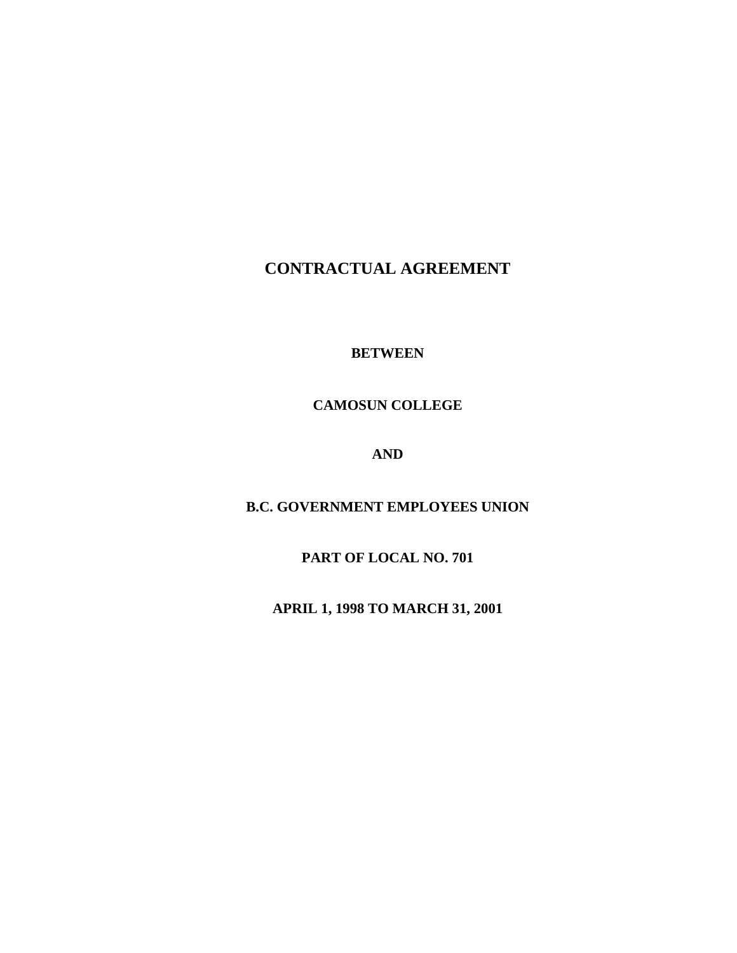# **CONTRACTUAL AGREEMENT**

**BETWEEN** 

**CAMOSUN COLLEGE** 

**AND** 

**B.C. GOVERNMENT EMPLOYEES UNION** 

**PART OF LOCAL NO. 701** 

**APRIL 1, 1998 TO MARCH 31, 2001**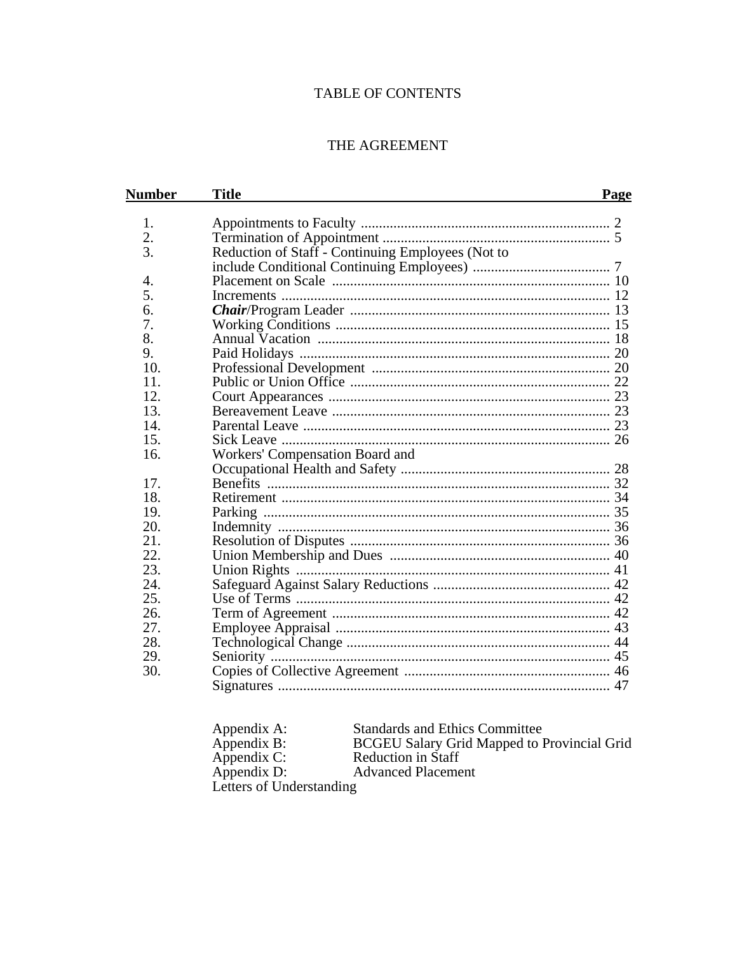# **TABLE OF CONTENTS**

# THE AGREEMENT

| <b>Number</b> | <b>Title</b>                                      | Page |
|---------------|---------------------------------------------------|------|
| 1.            |                                                   |      |
| 2.            |                                                   |      |
| 3.            | Reduction of Staff - Continuing Employees (Not to |      |
|               |                                                   |      |
| 4.            |                                                   |      |
| 5.            |                                                   |      |
| 6.            |                                                   |      |
| 7.            |                                                   |      |
| 8.            |                                                   |      |
| 9.            |                                                   |      |
| 10.           |                                                   |      |
| 11.           |                                                   |      |
| 12.           |                                                   |      |
| 13.           |                                                   |      |
| 14.           |                                                   |      |
| 15.           |                                                   |      |
| 16.           | Workers' Compensation Board and                   |      |
|               |                                                   |      |
| 17.           |                                                   |      |
| 18.           |                                                   |      |
| 19.           |                                                   |      |
| 20.           |                                                   |      |
| 21.           |                                                   |      |
| 22.           |                                                   |      |
| 23.           |                                                   |      |
| 24.           |                                                   |      |
| 25.           |                                                   |      |
| 26.           |                                                   |      |
| 27.           |                                                   |      |
| 28.           |                                                   |      |
| 29.           |                                                   |      |
| 30.           |                                                   |      |
|               |                                                   |      |

| Appendix A:              | <b>Standards and Ethics Committee</b>              |
|--------------------------|----------------------------------------------------|
| Appendix B:              | <b>BCGEU Salary Grid Mapped to Provincial Grid</b> |
| Appendix C:              | <b>Reduction in Staff</b>                          |
| Appendix D:              | <b>Advanced Placement</b>                          |
| Letters of Understanding |                                                    |
|                          |                                                    |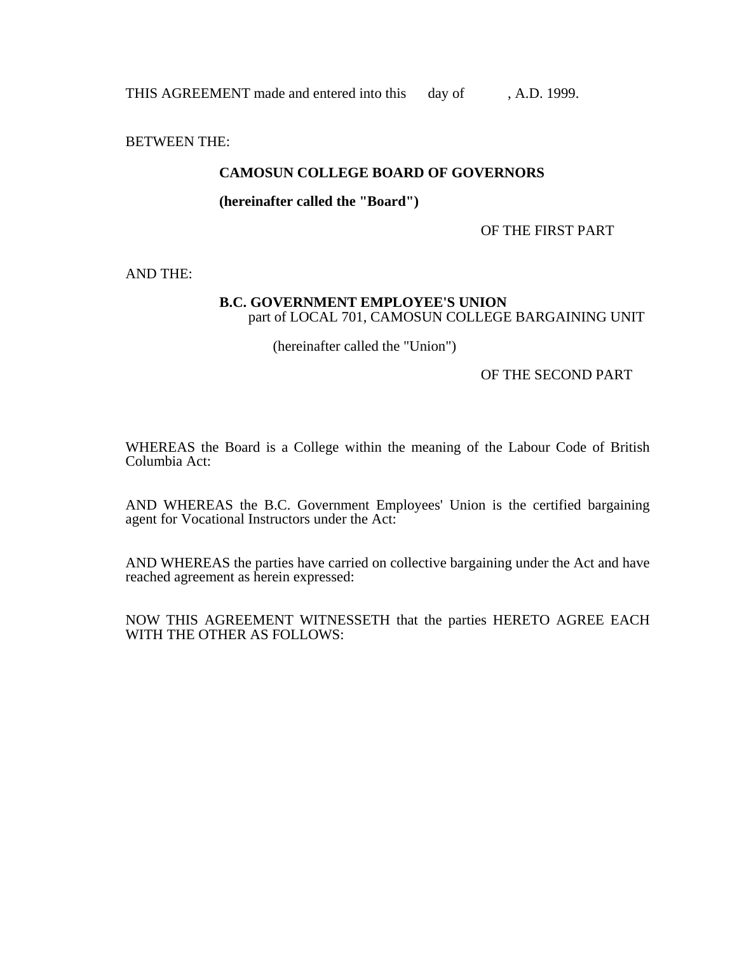THIS AGREEMENT made and entered into this day of , A.D. 1999.

BETWEEN THE:

### **CAMOSUN COLLEGE BOARD OF GOVERNORS**

 **(hereinafter called the "Board")** 

OF THE FIRST PART

AND THE:

#### **B.C. GOVERNMENT EMPLOYEE'S UNION** part of LOCAL 701, CAMOSUN COLLEGE BARGAINING UNIT

(hereinafter called the "Union")

OF THE SECOND PART

WHEREAS the Board is a College within the meaning of the Labour Code of British Columbia Act:

AND WHEREAS the B.C. Government Employees' Union is the certified bargaining agent for Vocational Instructors under the Act:

AND WHEREAS the parties have carried on collective bargaining under the Act and have reached agreement as herein expressed:

NOW THIS AGREEMENT WITNESSETH that the parties HERETO AGREE EACH WITH THE OTHER AS FOLLOWS: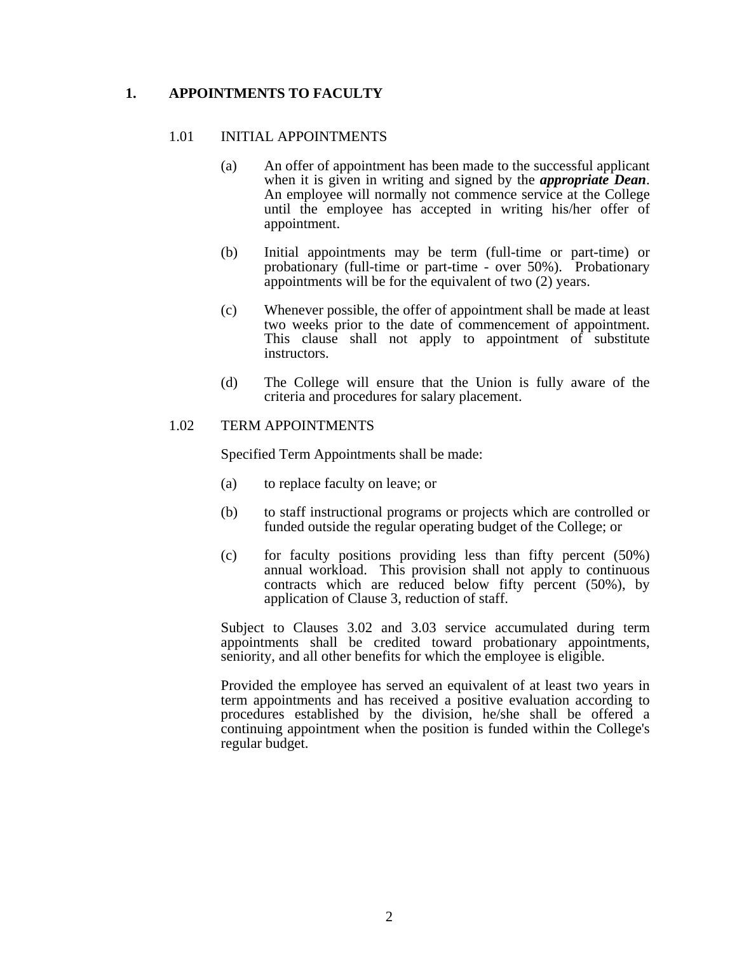## **1. APPOINTMENTS TO FACULTY**

### 1.01 INITIAL APPOINTMENTS

- (a) An offer of appointment has been made to the successful applicant when it is given in writing and signed by the *appropriate Dean*. An employee will normally not commence service at the College until the employee has accepted in writing his/her offer of appointment.
- (b) Initial appointments may be term (full-time or part-time) or probationary (full-time or part-time - over 50%). Probationary appointments will be for the equivalent of two (2) years.
- (c) Whenever possible, the offer of appointment shall be made at least two weeks prior to the date of commencement of appointment. This clause shall not apply to appointment of substitute instructors.
- (d) The College will ensure that the Union is fully aware of the criteria and procedures for salary placement.

#### 1.02 TERM APPOINTMENTS

Specified Term Appointments shall be made:

- (a) to replace faculty on leave; or
- (b) to staff instructional programs or projects which are controlled or funded outside the regular operating budget of the College; or
- (c) for faculty positions providing less than fifty percent (50%) annual workload. This provision shall not apply to continuous contracts which are reduced below fifty percent (50%), by application of Clause 3, reduction of staff.

 Subject to Clauses 3.02 and 3.03 service accumulated during term appointments shall be credited toward probationary appointments, seniority, and all other benefits for which the employee is eligible.

 Provided the employee has served an equivalent of at least two years in term appointments and has received a positive evaluation according to procedures established by the division, he/she shall be offered a continuing appointment when the position is funded within the College's regular budget.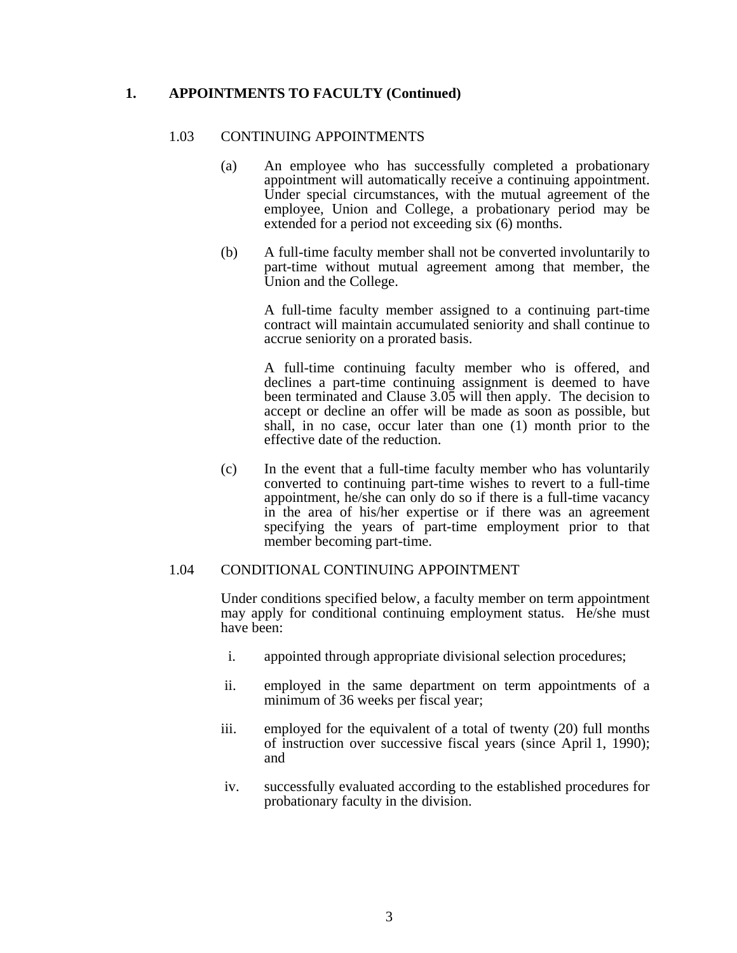### **1. APPOINTMENTS TO FACULTY (Continued)**

#### 1.03 CONTINUING APPOINTMENTS

- (a) An employee who has successfully completed a probationary appointment will automatically receive a continuing appointment. Under special circumstances, with the mutual agreement of the employee, Union and College, a probationary period may be extended for a period not exceeding six (6) months.
- (b) A full-time faculty member shall not be converted involuntarily to part-time without mutual agreement among that member, the Union and the College.

 A full-time faculty member assigned to a continuing part-time contract will maintain accumulated seniority and shall continue to accrue seniority on a prorated basis.

 A full-time continuing faculty member who is offered, and declines a part-time continuing assignment is deemed to have been terminated and Clause 3.05 will then apply. The decision to accept or decline an offer will be made as soon as possible, but shall, in no case, occur later than one (1) month prior to the effective date of the reduction.

 (c) In the event that a full-time faculty member who has voluntarily converted to continuing part-time wishes to revert to a full-time appointment, he/she can only do so if there is a full-time vacancy in the area of his/her expertise or if there was an agreement specifying the years of part-time employment prior to that member becoming part-time.

#### 1.04 CONDITIONAL CONTINUING APPOINTMENT

 Under conditions specified below, a faculty member on term appointment may apply for conditional continuing employment status. He/she must have been:

- i. appointed through appropriate divisional selection procedures;
- ii. employed in the same department on term appointments of a minimum of 36 weeks per fiscal year;
- iii. employed for the equivalent of a total of twenty (20) full months of instruction over successive fiscal years (since April 1, 1990); and
- iv. successfully evaluated according to the established procedures for probationary faculty in the division.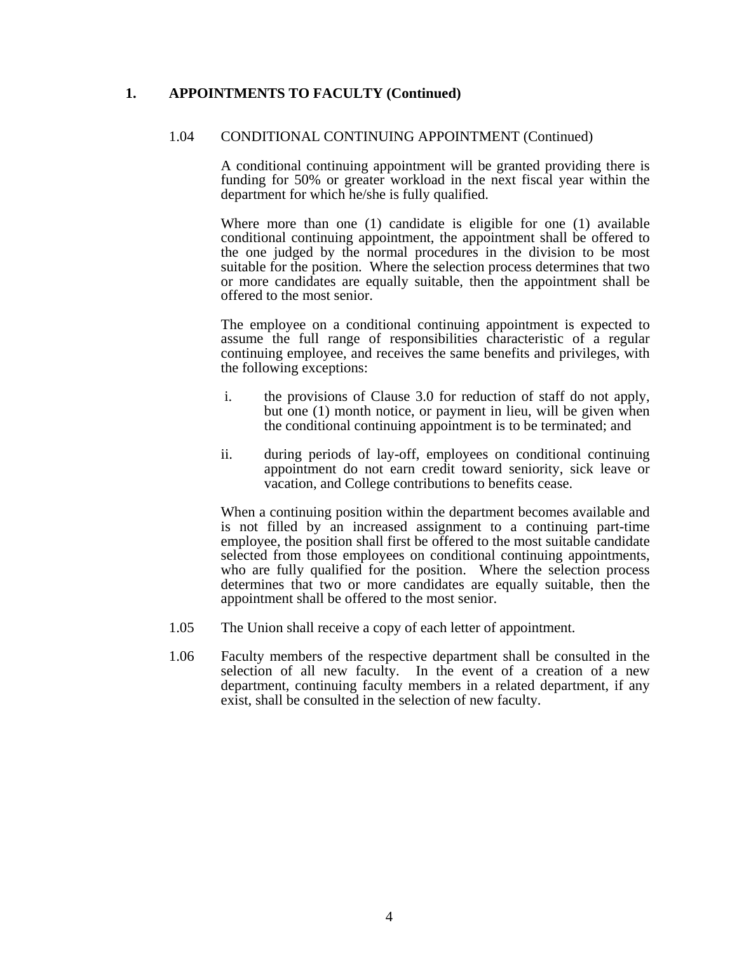## **1. APPOINTMENTS TO FACULTY (Continued)**

### 1.04 CONDITIONAL CONTINUING APPOINTMENT (Continued)

 A conditional continuing appointment will be granted providing there is funding for 50% or greater workload in the next fiscal year within the department for which he/she is fully qualified.

 Where more than one (1) candidate is eligible for one (1) available conditional continuing appointment, the appointment shall be offered to the one judged by the normal procedures in the division to be most suitable for the position. Where the selection process determines that two or more candidates are equally suitable, then the appointment shall be offered to the most senior.

 The employee on a conditional continuing appointment is expected to assume the full range of responsibilities characteristic of a regular continuing employee, and receives the same benefits and privileges, with the following exceptions:

- i. the provisions of Clause 3.0 for reduction of staff do not apply, but one (1) month notice, or payment in lieu, will be given when the conditional continuing appointment is to be terminated; and
- ii. during periods of lay-off, employees on conditional continuing appointment do not earn credit toward seniority, sick leave or vacation, and College contributions to benefits cease.

 When a continuing position within the department becomes available and is not filled by an increased assignment to a continuing part-time employee, the position shall first be offered to the most suitable candidate selected from those employees on conditional continuing appointments, who are fully qualified for the position. Where the selection process determines that two or more candidates are equally suitable, then the appointment shall be offered to the most senior.

- 1.05 The Union shall receive a copy of each letter of appointment.
- 1.06 Faculty members of the respective department shall be consulted in the selection of all new faculty. In the event of a creation of a new department, continuing faculty members in a related department, if any exist, shall be consulted in the selection of new faculty.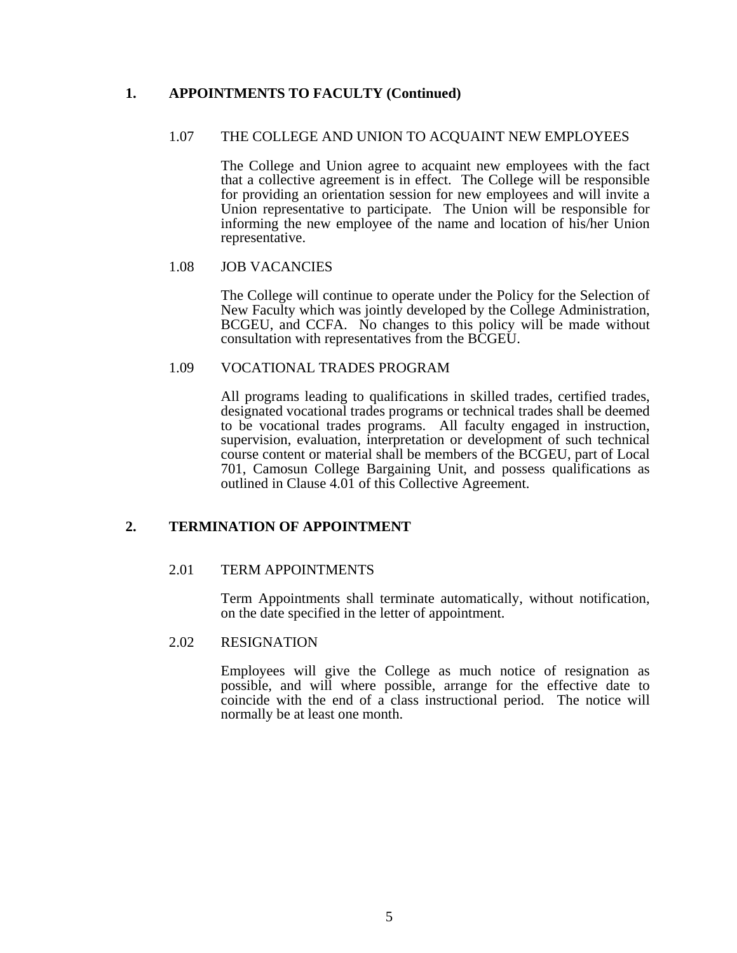## **1. APPOINTMENTS TO FACULTY (Continued)**

### 1.07 THE COLLEGE AND UNION TO ACQUAINT NEW EMPLOYEES

 The College and Union agree to acquaint new employees with the fact that a collective agreement is in effect. The College will be responsible for providing an orientation session for new employees and will invite a Union representative to participate. The Union will be responsible for informing the new employee of the name and location of his/her Union representative.

### 1.08 JOB VACANCIES

 The College will continue to operate under the Policy for the Selection of New Faculty which was jointly developed by the College Administration, BCGEU, and CCFA. No changes to this policy will be made without consultation with representatives from the BCGEU.

### 1.09 VOCATIONAL TRADES PROGRAM

 All programs leading to qualifications in skilled trades, certified trades, designated vocational trades programs or technical trades shall be deemed to be vocational trades programs. All faculty engaged in instruction, supervision, evaluation, interpretation or development of such technical course content or material shall be members of the BCGEU, part of Local 701, Camosun College Bargaining Unit, and possess qualifications as outlined in Clause 4.01 of this Collective Agreement.

### **2. TERMINATION OF APPOINTMENT**

### 2.01 TERM APPOINTMENTS

 Term Appointments shall terminate automatically, without notification, on the date specified in the letter of appointment.

#### 2.02 RESIGNATION

 Employees will give the College as much notice of resignation as possible, and will where possible, arrange for the effective date to coincide with the end of a class instructional period. The notice will normally be at least one month.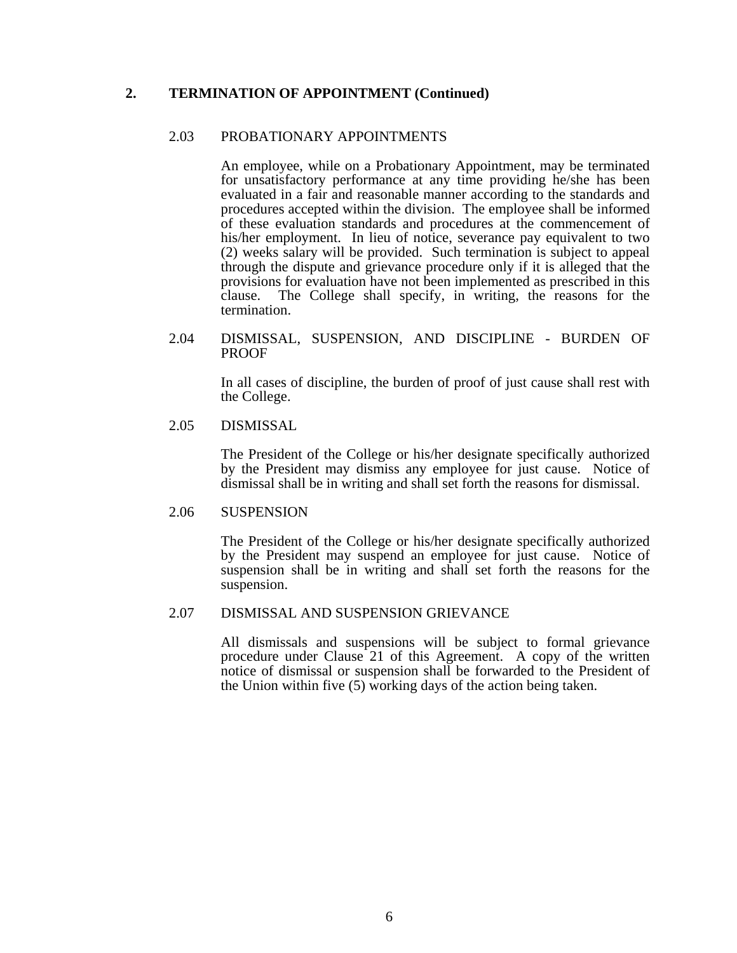## **2. TERMINATION OF APPOINTMENT (Continued)**

### 2.03 PROBATIONARY APPOINTMENTS

 An employee, while on a Probationary Appointment, may be terminated for unsatisfactory performance at any time providing he/she has been evaluated in a fair and reasonable manner according to the standards and procedures accepted within the division. The employee shall be informed of these evaluation standards and procedures at the commencement of his/her employment. In lieu of notice, severance pay equivalent to two (2) weeks salary will be provided. Such termination is subject to appeal through the dispute and grievance procedure only if it is alleged that the provisions for evaluation have not been implemented as prescribed in this clause. The College shall specify, in writing, the reasons for the termination.

#### 2.04 DISMISSAL, SUSPENSION, AND DISCIPLINE - BURDEN OF PROOF

 In all cases of discipline, the burden of proof of just cause shall rest with the College.

#### 2.05 DISMISSAL

 The President of the College or his/her designate specifically authorized by the President may dismiss any employee for just cause. Notice of dismissal shall be in writing and shall set forth the reasons for dismissal.

#### 2.06 SUSPENSION

 The President of the College or his/her designate specifically authorized by the President may suspend an employee for just cause. Notice of suspension shall be in writing and shall set forth the reasons for the suspension.

#### 2.07 DISMISSAL AND SUSPENSION GRIEVANCE

 All dismissals and suspensions will be subject to formal grievance procedure under Clause 21 of this Agreement. A copy of the written notice of dismissal or suspension shall be forwarded to the President of the Union within five (5) working days of the action being taken.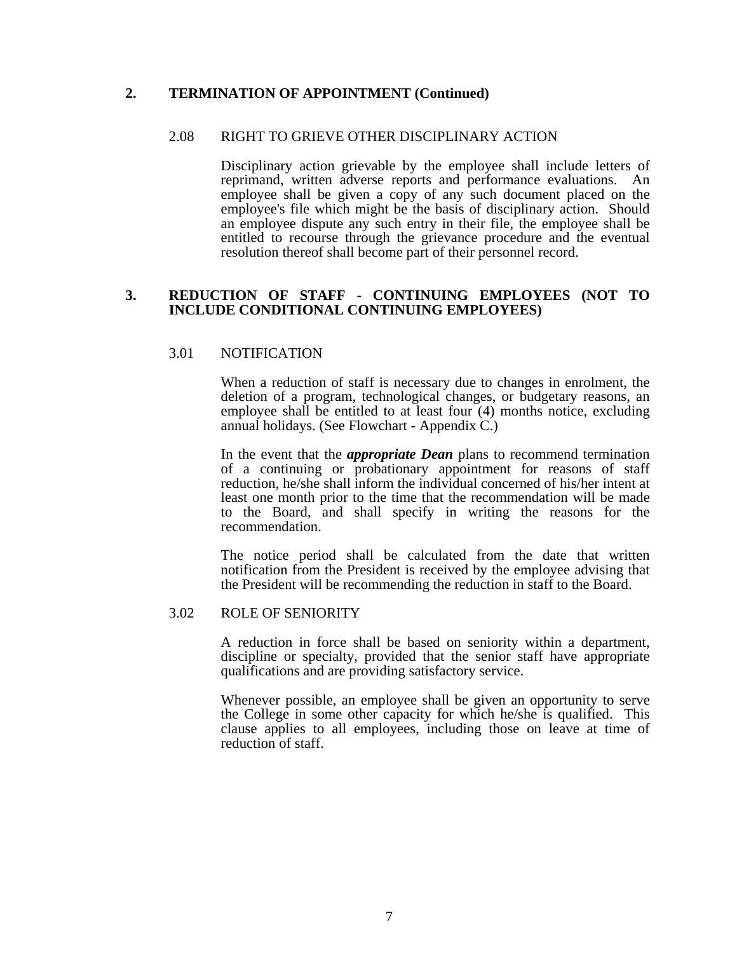### **2. TERMINATION OF APPOINTMENT (Continued)**

#### 2.08 RIGHT TO GRIEVE OTHER DISCIPLINARY ACTION

 Disciplinary action grievable by the employee shall include letters of reprimand, written adverse reports and performance evaluations. An employee shall be given a copy of any such document placed on the employee's file which might be the basis of disciplinary action. Should an employee dispute any such entry in their file, the employee shall be entitled to recourse through the grievance procedure and the eventual resolution thereof shall become part of their personnel record.

#### **3. REDUCTION OF STAFF - CONTINUING EMPLOYEES (NOT TO INCLUDE CONDITIONAL CONTINUING EMPLOYEES)**

#### 3.01 NOTIFICATION

 When a reduction of staff is necessary due to changes in enrolment, the deletion of a program, technological changes, or budgetary reasons, an employee shall be entitled to at least four (4) months notice, excluding annual holidays. (See Flowchart - Appendix C.)

 In the event that the *appropriate Dean* plans to recommend termination of a continuing or probationary appointment for reasons of staff reduction, he/she shall inform the individual concerned of his/her intent at least one month prior to the time that the recommendation will be made to the Board, and shall specify in writing the reasons for the recommendation.

 The notice period shall be calculated from the date that written notification from the President is received by the employee advising that the President will be recommending the reduction in staff to the Board.

#### 3.02 ROLE OF SENIORITY

 A reduction in force shall be based on seniority within a department, discipline or specialty, provided that the senior staff have appropriate qualifications and are providing satisfactory service.

 Whenever possible, an employee shall be given an opportunity to serve the College in some other capacity for which he/she is qualified. This clause applies to all employees, including those on leave at time of reduction of staff.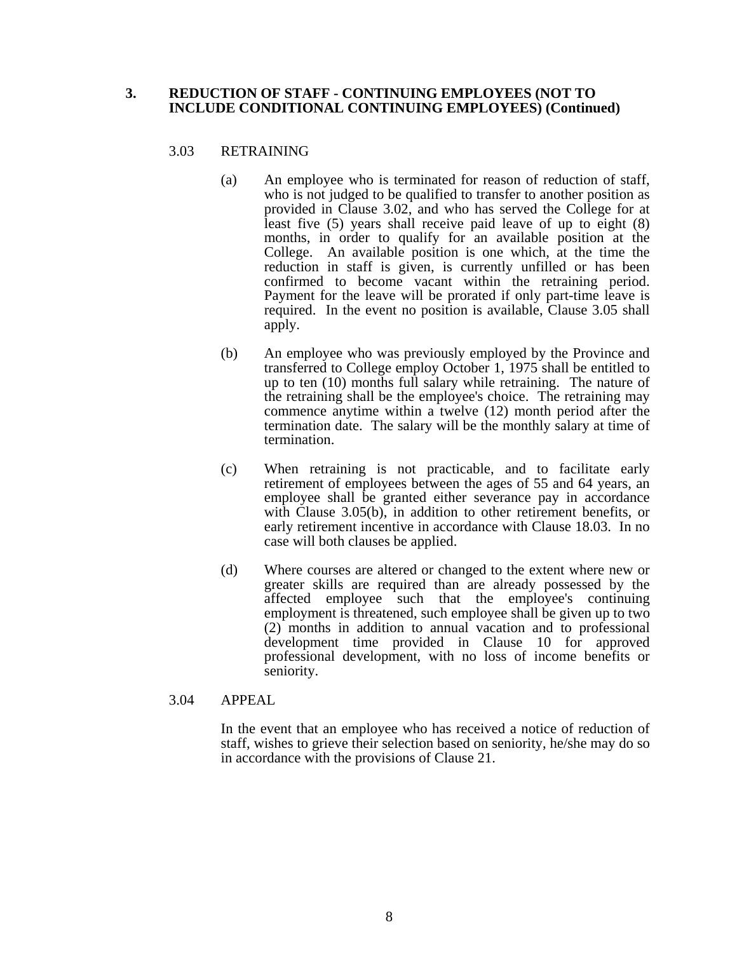#### **3. REDUCTION OF STAFF - CONTINUING EMPLOYEES (NOT TO INCLUDE CONDITIONAL CONTINUING EMPLOYEES) (Continued)**

### 3.03 RETRAINING

- (a) An employee who is terminated for reason of reduction of staff, who is not judged to be qualified to transfer to another position as provided in Clause 3.02, and who has served the College for at least five (5) years shall receive paid leave of up to eight (8) months, in order to qualify for an available position at the College. An available position is one which, at the time the reduction in staff is given, is currently unfilled or has been confirmed to become vacant within the retraining period. Payment for the leave will be prorated if only part-time leave is required. In the event no position is available, Clause 3.05 shall apply.
- (b) An employee who was previously employed by the Province and transferred to College employ October 1, 1975 shall be entitled to up to ten (10) months full salary while retraining. The nature of the retraining shall be the employee's choice. The retraining may commence anytime within a twelve (12) month period after the termination date. The salary will be the monthly salary at time of termination.
- (c) When retraining is not practicable, and to facilitate early retirement of employees between the ages of 55 and 64 years, an employee shall be granted either severance pay in accordance with Clause 3.05(b), in addition to other retirement benefits, or early retirement incentive in accordance with Clause 18.03. In no case will both clauses be applied.
- (d) Where courses are altered or changed to the extent where new or greater skills are required than are already possessed by the affected employee such that the employee's continuing employment is threatened, such employee shall be given up to two (2) months in addition to annual vacation and to professional development time provided in Clause 10 for approved professional development, with no loss of income benefits or seniority.

#### 3.04 APPEAL

 In the event that an employee who has received a notice of reduction of staff, wishes to grieve their selection based on seniority, he/she may do so in accordance with the provisions of Clause 21.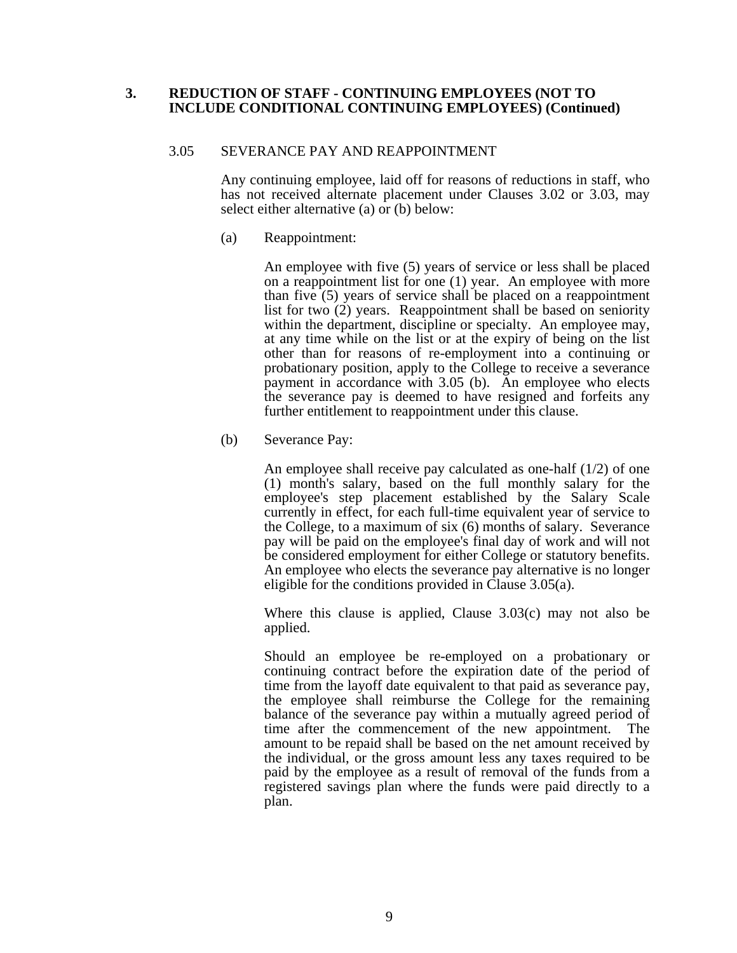### **3. REDUCTION OF STAFF - CONTINUING EMPLOYEES (NOT TO INCLUDE CONDITIONAL CONTINUING EMPLOYEES) (Continued)**

#### 3.05 SEVERANCE PAY AND REAPPOINTMENT

 Any continuing employee, laid off for reasons of reductions in staff, who has not received alternate placement under Clauses 3.02 or 3.03, may select either alternative (a) or (b) below:

(a) Reappointment:

 An employee with five (5) years of service or less shall be placed on a reappointment list for one (1) year. An employee with more than five (5) years of service shall be placed on a reappointment list for two (2) years. Reappointment shall be based on seniority within the department, discipline or specialty. An employee may, at any time while on the list or at the expiry of being on the list other than for reasons of re-employment into a continuing or probationary position, apply to the College to receive a severance payment in accordance with 3.05 (b). An employee who elects the severance pay is deemed to have resigned and forfeits any further entitlement to reappointment under this clause.

(b) Severance Pay:

 An employee shall receive pay calculated as one-half (1/2) of one (1) month's salary, based on the full monthly salary for the employee's step placement established by the Salary Scale currently in effect, for each full-time equivalent year of service to the College, to a maximum of six (6) months of salary. Severance pay will be paid on the employee's final day of work and will not be considered employment for either College or statutory benefits. An employee who elects the severance pay alternative is no longer eligible for the conditions provided in Clause 3.05(a).

 Where this clause is applied, Clause 3.03(c) may not also be applied.

 Should an employee be re-employed on a probationary or continuing contract before the expiration date of the period of time from the layoff date equivalent to that paid as severance pay, the employee shall reimburse the College for the remaining balance of the severance pay within a mutually agreed period of time after the commencement of the new appointment. The amount to be repaid shall be based on the net amount received by the individual, or the gross amount less any taxes required to be paid by the employee as a result of removal of the funds from a registered savings plan where the funds were paid directly to a plan.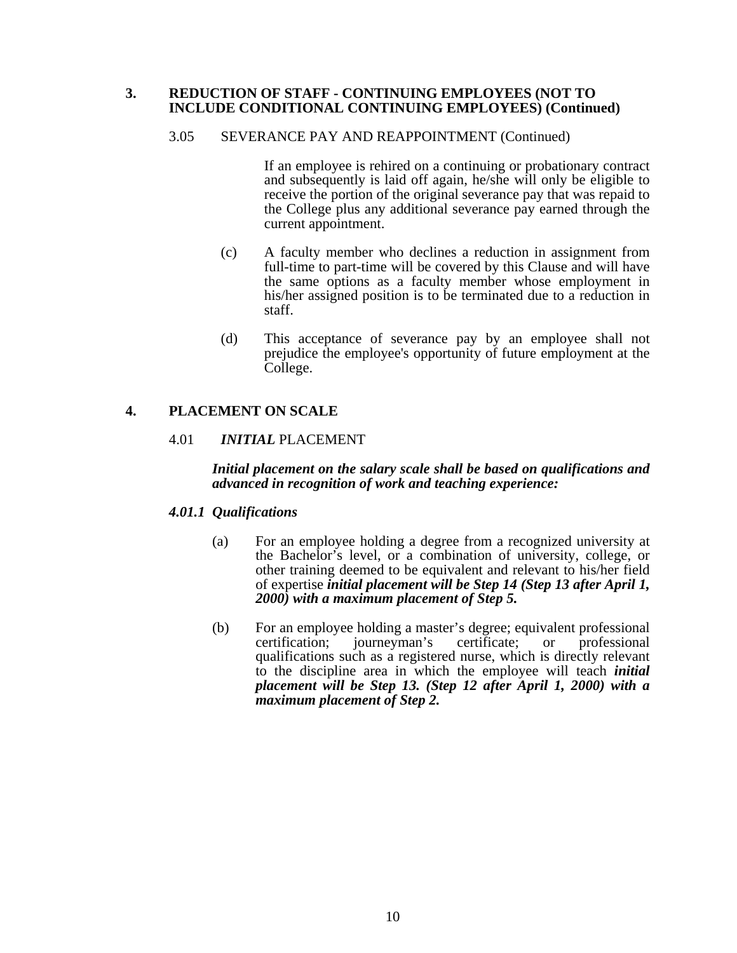### **3. REDUCTION OF STAFF - CONTINUING EMPLOYEES (NOT TO INCLUDE CONDITIONAL CONTINUING EMPLOYEES) (Continued)**

#### 3.05 SEVERANCE PAY AND REAPPOINTMENT (Continued)

 If an employee is rehired on a continuing or probationary contract and subsequently is laid off again, he/she will only be eligible to receive the portion of the original severance pay that was repaid to the College plus any additional severance pay earned through the current appointment.

- (c) A faculty member who declines a reduction in assignment from full-time to part-time will be covered by this Clause and will have the same options as a faculty member whose employment in his/her assigned position is to be terminated due to a reduction in staff.
- (d) This acceptance of severance pay by an employee shall not prejudice the employee's opportunity of future employment at the College.

## **4. PLACEMENT ON SCALE**

### 4.01 *INITIAL* PLACEMENT

#### *Initial placement on the salary scale shall be based on qualifications and advanced in recognition of work and teaching experience:*

### *4.01.1 Qualifications*

- (a) For an employee holding a degree from a recognized university at the Bachelor's level, or a combination of university, college, or other training deemed to be equivalent and relevant to his/her field of expertise *initial placement will be Step 14 (Step 13 after April 1, 2000) with a maximum placement of Step 5.*
- (b) For an employee holding a master's degree; equivalent professional certification; journeyman's certificate; or professional qualifications such as a registered nurse, which is directly relevant to the discipline area in which the employee will teach *initial placement will be Step 13. (Step 12 after April 1, 2000) with a maximum placement of Step 2.*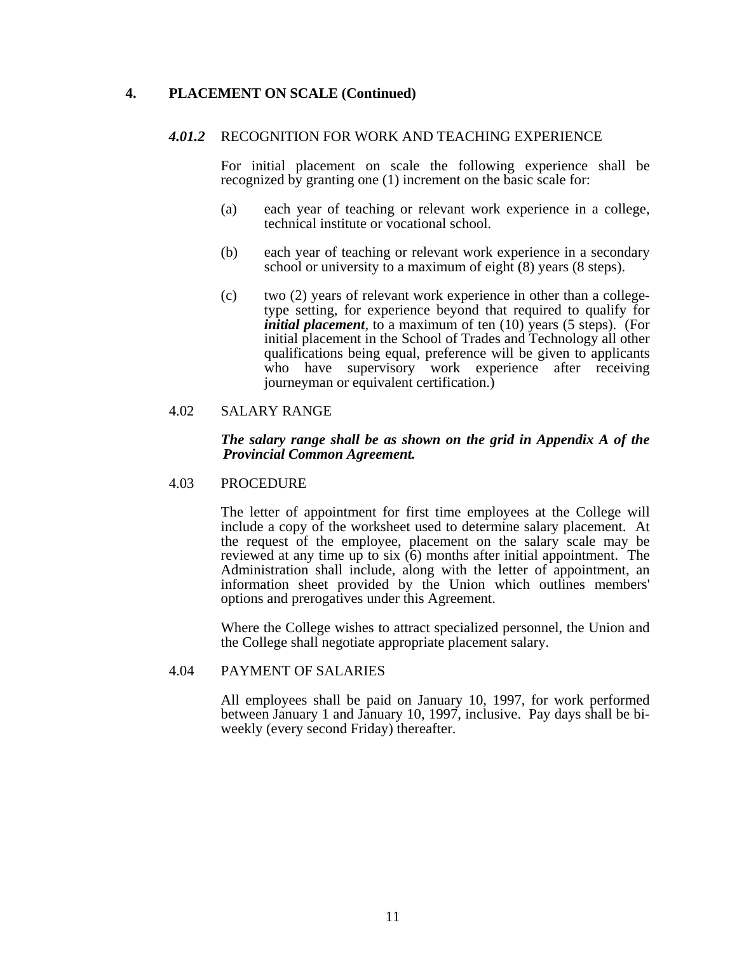### **4. PLACEMENT ON SCALE (Continued)**

#### *4.01.2* RECOGNITION FOR WORK AND TEACHING EXPERIENCE

 For initial placement on scale the following experience shall be recognized by granting one (1) increment on the basic scale for:

- (a) each year of teaching or relevant work experience in a college, technical institute or vocational school.
- (b) each year of teaching or relevant work experience in a secondary school or university to a maximum of eight (8) years (8 steps).
- (c) two (2) years of relevant work experience in other than a collegetype setting, for experience beyond that required to qualify for *initial placement*, to a maximum of ten (10) years (5 steps). (For initial placement in the School of Trades and Technology all other qualifications being equal, preference will be given to applicants who have supervisory work experience after receiving journeyman or equivalent certification.)

#### 4.02 SALARY RANGE

#### *The salary range shall be as shown on the grid in Appendix A of the Provincial Common Agreement.*

#### 4.03 PROCEDURE

 The letter of appointment for first time employees at the College will include a copy of the worksheet used to determine salary placement. At the request of the employee, placement on the salary scale may be reviewed at any time up to six (6) months after initial appointment. The Administration shall include, along with the letter of appointment, an information sheet provided by the Union which outlines members' options and prerogatives under this Agreement.

 Where the College wishes to attract specialized personnel, the Union and the College shall negotiate appropriate placement salary.

#### 4.04 PAYMENT OF SALARIES

 All employees shall be paid on January 10, 1997, for work performed between January 1 and January 10, 1997, inclusive. Pay days shall be biweekly (every second Friday) thereafter.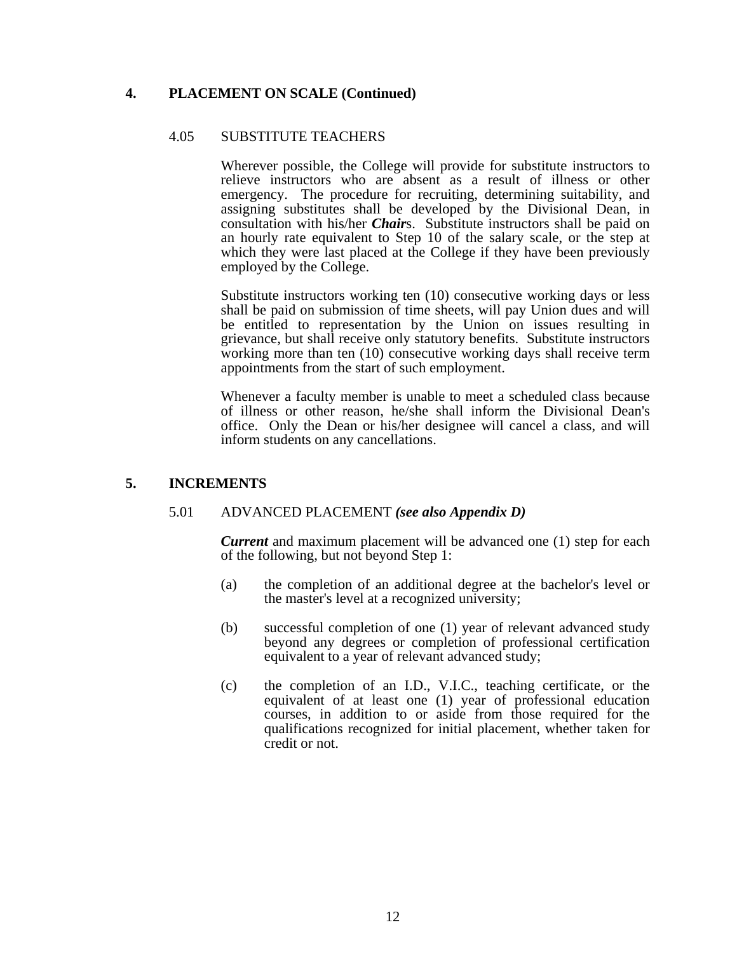## **4. PLACEMENT ON SCALE (Continued)**

#### 4.05 SUBSTITUTE TEACHERS

 Wherever possible, the College will provide for substitute instructors to relieve instructors who are absent as a result of illness or other emergency. The procedure for recruiting, determining suitability, and assigning substitutes shall be developed by the Divisional Dean, in consultation with his/her *Chair*s. Substitute instructors shall be paid on an hourly rate equivalent to Step 10 of the salary scale, or the step at which they were last placed at the College if they have been previously employed by the College.

 Substitute instructors working ten (10) consecutive working days or less shall be paid on submission of time sheets, will pay Union dues and will be entitled to representation by the Union on issues resulting in grievance, but shall receive only statutory benefits. Substitute instructors working more than ten (10) consecutive working days shall receive term appointments from the start of such employment.

 Whenever a faculty member is unable to meet a scheduled class because of illness or other reason, he/she shall inform the Divisional Dean's office. Only the Dean or his/her designee will cancel a class, and will inform students on any cancellations.

### **5. INCREMENTS**

#### 5.01 ADVANCED PLACEMENT *(see also Appendix D)*

 *Current* and maximum placement will be advanced one (1) step for each of the following, but not beyond Step 1:

- (a) the completion of an additional degree at the bachelor's level or the master's level at a recognized university;
- (b) successful completion of one (1) year of relevant advanced study beyond any degrees or completion of professional certification equivalent to a year of relevant advanced study;
- (c) the completion of an I.D., V.I.C., teaching certificate, or the equivalent of at least one (1) year of professional education courses, in addition to or aside from those required for the qualifications recognized for initial placement, whether taken for credit or not.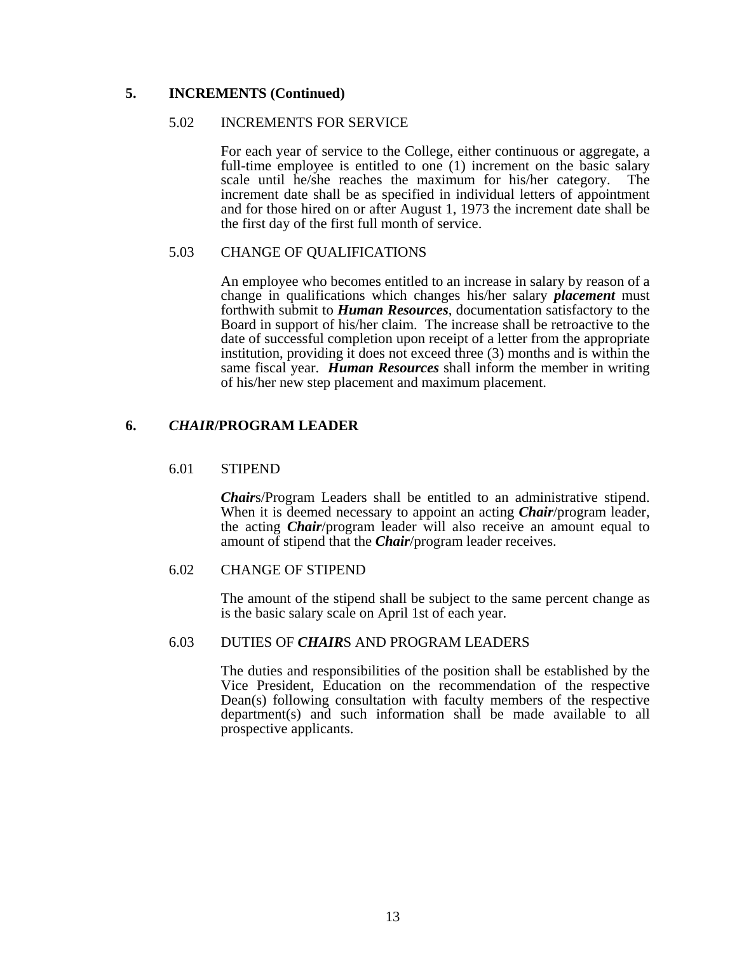### **5. INCREMENTS (Continued)**

#### 5.02 INCREMENTS FOR SERVICE

 For each year of service to the College, either continuous or aggregate, a full-time employee is entitled to one (1) increment on the basic salary scale until he/she reaches the maximum for his/her category. The increment date shall be as specified in individual letters of appointment and for those hired on or after August 1, 1973 the increment date shall be the first day of the first full month of service.

### 5.03 CHANGE OF QUALIFICATIONS

 An employee who becomes entitled to an increase in salary by reason of a change in qualifications which changes his/her salary *placement* must forthwith submit to *Human Resources*, documentation satisfactory to the Board in support of his/her claim. The increase shall be retroactive to the date of successful completion upon receipt of a letter from the appropriate institution, providing it does not exceed three (3) months and is within the same fiscal year. *Human Resources* shall inform the member in writing of his/her new step placement and maximum placement.

### **6.** *CHAIR***/PROGRAM LEADER**

#### 6.01 STIPEND

 *Chair*s/Program Leaders shall be entitled to an administrative stipend. When it is deemed necessary to appoint an acting *Chair*/program leader, the acting *Chair*/program leader will also receive an amount equal to amount of stipend that the *Chair*/program leader receives.

### 6.02 CHANGE OF STIPEND

 The amount of the stipend shall be subject to the same percent change as is the basic salary scale on April 1st of each year.

#### 6.03 DUTIES OF *CHAIR*S AND PROGRAM LEADERS

 The duties and responsibilities of the position shall be established by the Vice President, Education on the recommendation of the respective Dean(s) following consultation with faculty members of the respective department(s) and such information shall be made available to all prospective applicants.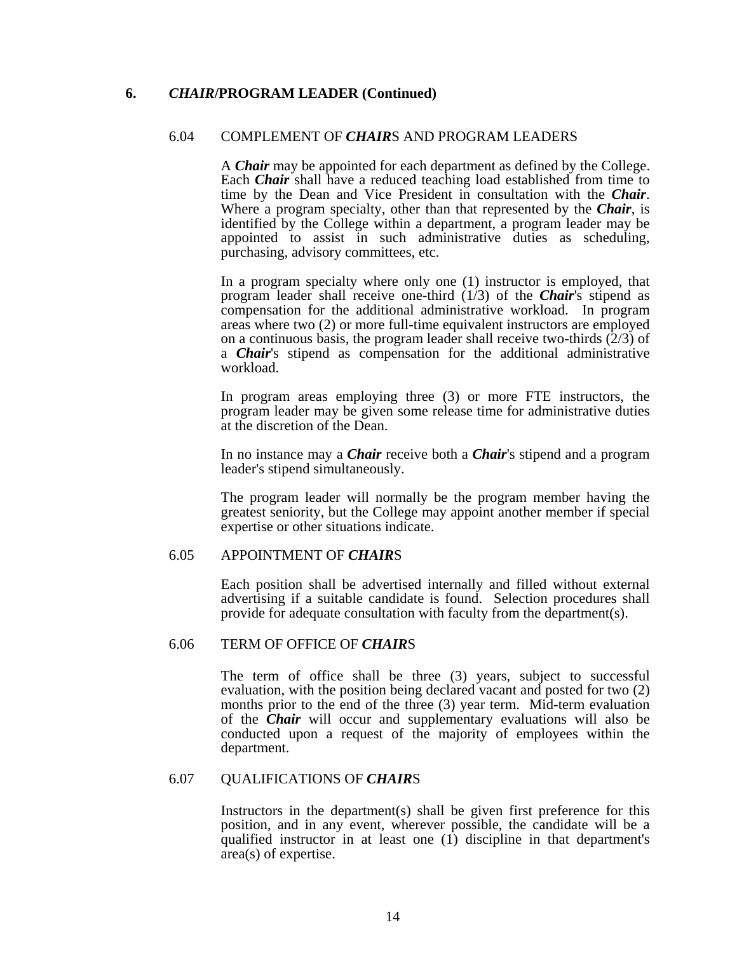## **6.** *CHAIR***/PROGRAM LEADER (Continued)**

### 6.04 COMPLEMENT OF *CHAIR*S AND PROGRAM LEADERS

 A *Chair* may be appointed for each department as defined by the College. Each *Chair* shall have a reduced teaching load established from time to time by the Dean and Vice President in consultation with the *Chair*. Where a program specialty, other than that represented by the *Chair*, is identified by the College within a department, a program leader may be appointed to assist in such administrative duties as scheduling, purchasing, advisory committees, etc.

 In a program specialty where only one (1) instructor is employed, that program leader shall receive one-third (1/3) of the *Chair*'s stipend as compensation for the additional administrative workload. In program areas where two (2) or more full-time equivalent instructors are employed on a continuous basis, the program leader shall receive two-thirds (2/3) of a *Chair*'s stipend as compensation for the additional administrative workload.

 In program areas employing three (3) or more FTE instructors, the program leader may be given some release time for administrative duties at the discretion of the Dean.

 In no instance may a *Chair* receive both a *Chair*'s stipend and a program leader's stipend simultaneously.

 The program leader will normally be the program member having the greatest seniority, but the College may appoint another member if special expertise or other situations indicate.

### 6.05 APPOINTMENT OF *CHAIR*S

 Each position shall be advertised internally and filled without external advertising if a suitable candidate is found. Selection procedures shall provide for adequate consultation with faculty from the department(s).

#### 6.06 TERM OF OFFICE OF *CHAIR*S

 The term of office shall be three (3) years, subject to successful evaluation, with the position being declared vacant and posted for two (2) months prior to the end of the three (3) year term. Mid-term evaluation of the *Chair* will occur and supplementary evaluations will also be conducted upon a request of the majority of employees within the department.

#### 6.07 QUALIFICATIONS OF *CHAIR*S

 Instructors in the department(s) shall be given first preference for this position, and in any event, wherever possible, the candidate will be a qualified instructor in at least one (1) discipline in that department's area(s) of expertise.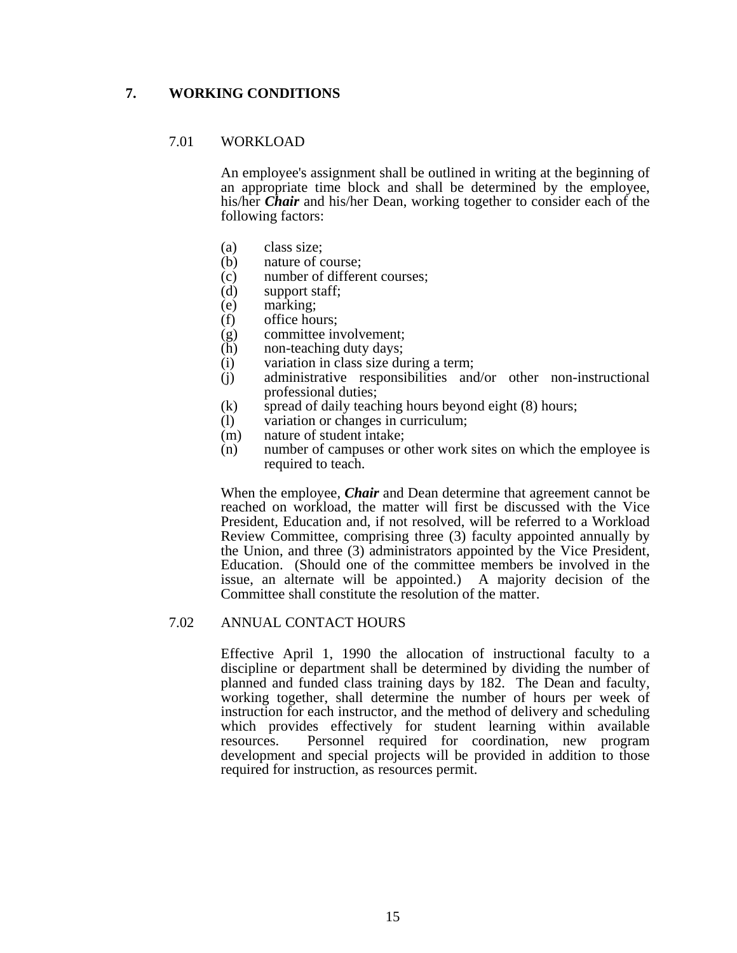## **7. WORKING CONDITIONS**

### 7.01 WORKLOAD

 An employee's assignment shall be outlined in writing at the beginning of an appropriate time block and shall be determined by the employee, his/her *Chair* and his/her Dean, working together to consider each of the following factors:

- (a) class size;
- (b) nature of course;
- (c) number of different courses;<br>(d) support staff;
- support staff;
- (e) marking;<br>(f) office hou
- office hours:
- (g) committee involvement;
- (h) non-teaching duty days;
- (i) variation in class size during a term;
- (j) administrative responsibilities and/or other non-instructional professional duties;
- $(k)$  spread of daily teaching hours beyond eight  $(8)$  hours;
- (l) variation or changes in curriculum;
- (m) nature of student intake;
- (n) number of campuses or other work sites on which the employee is required to teach.

 When the employee, *Chair* and Dean determine that agreement cannot be reached on workload, the matter will first be discussed with the Vice President, Education and, if not resolved, will be referred to a Workload Review Committee, comprising three (3) faculty appointed annually by the Union, and three (3) administrators appointed by the Vice President, Education. (Should one of the committee members be involved in the issue, an alternate will be appointed.) A majority decision of the Committee shall constitute the resolution of the matter.

### 7.02 ANNUAL CONTACT HOURS

 Effective April 1, 1990 the allocation of instructional faculty to a discipline or department shall be determined by dividing the number of planned and funded class training days by 182. The Dean and faculty, working together, shall determine the number of hours per week of instruction for each instructor, and the method of delivery and scheduling which provides effectively for student learning within available resources. Personnel required for coordination, new program development and special projects will be provided in addition to those required for instruction, as resources permit.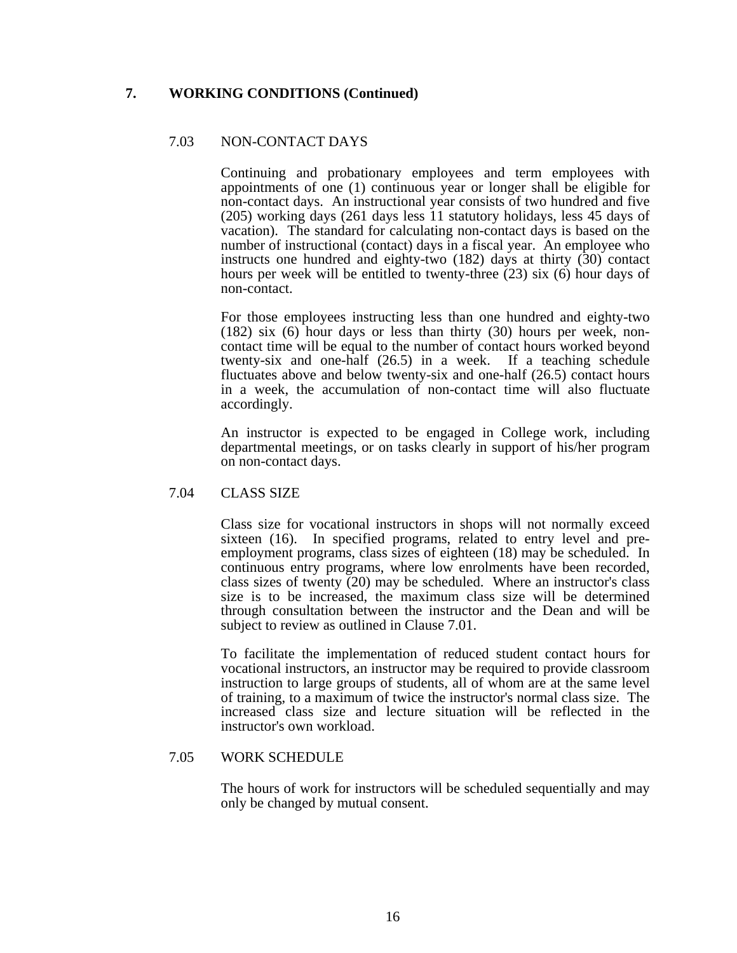## **7. WORKING CONDITIONS (Continued)**

### 7.03 NON-CONTACT DAYS

 Continuing and probationary employees and term employees with appointments of one (1) continuous year or longer shall be eligible for non-contact days. An instructional year consists of two hundred and five (205) working days (261 days less 11 statutory holidays, less 45 days of vacation). The standard for calculating non-contact days is based on the number of instructional (contact) days in a fiscal year. An employee who instructs one hundred and eighty-two (182) days at thirty (30) contact hours per week will be entitled to twenty-three (23) six (6) hour days of non-contact.

 For those employees instructing less than one hundred and eighty-two (182) six (6) hour days or less than thirty (30) hours per week, noncontact time will be equal to the number of contact hours worked beyond twenty-six and one-half (26.5) in a week. If a teaching schedule fluctuates above and below twenty-six and one-half (26.5) contact hours in a week, the accumulation of non-contact time will also fluctuate accordingly.

 An instructor is expected to be engaged in College work, including departmental meetings, or on tasks clearly in support of his/her program on non-contact days.

#### 7.04 CLASS SIZE

 Class size for vocational instructors in shops will not normally exceed sixteen (16). In specified programs, related to entry level and preemployment programs, class sizes of eighteen (18) may be scheduled. In continuous entry programs, where low enrolments have been recorded, class sizes of twenty (20) may be scheduled. Where an instructor's class size is to be increased, the maximum class size will be determined through consultation between the instructor and the Dean and will be subject to review as outlined in Clause 7.01.

 To facilitate the implementation of reduced student contact hours for vocational instructors, an instructor may be required to provide classroom instruction to large groups of students, all of whom are at the same level of training, to a maximum of twice the instructor's normal class size. The increased class size and lecture situation will be reflected in the instructor's own workload.

#### 7.05 WORK SCHEDULE

 The hours of work for instructors will be scheduled sequentially and may only be changed by mutual consent.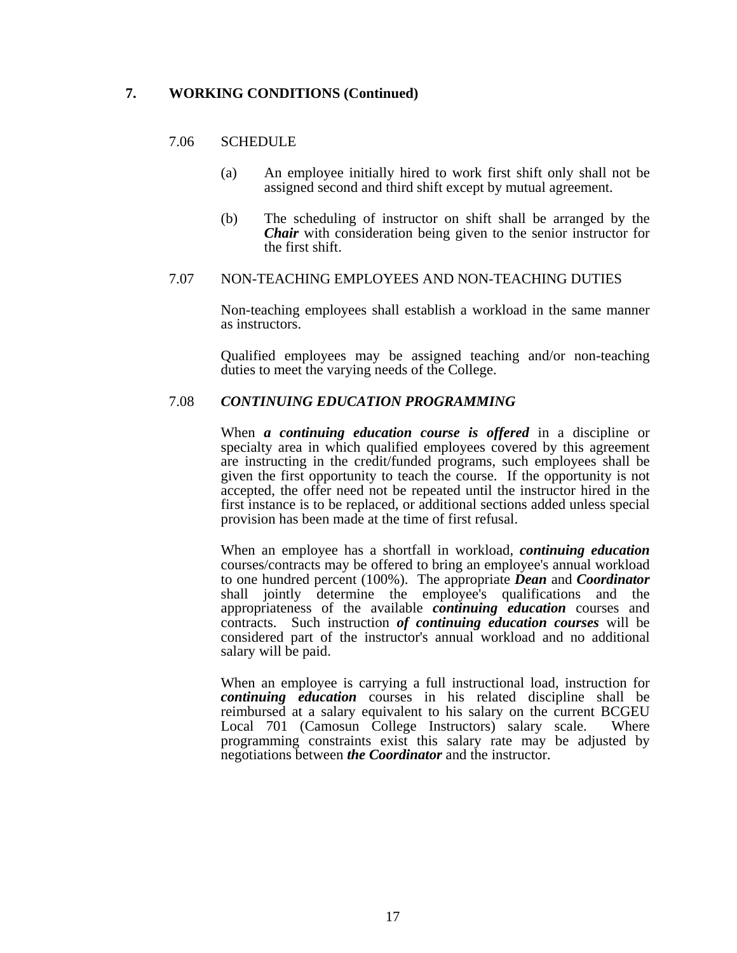## **7. WORKING CONDITIONS (Continued)**

### 7.06 SCHEDULE

- (a) An employee initially hired to work first shift only shall not be assigned second and third shift except by mutual agreement.
- (b) The scheduling of instructor on shift shall be arranged by the *Chair* with consideration being given to the senior instructor for the first shift.

#### 7.07 NON-TEACHING EMPLOYEES AND NON-TEACHING DUTIES

 Non-teaching employees shall establish a workload in the same manner as instructors.

 Qualified employees may be assigned teaching and/or non-teaching duties to meet the varying needs of the College.

#### 7.08 *CONTINUING EDUCATION PROGRAMMING*

 When *a continuing education course is offered* in a discipline or specialty area in which qualified employees covered by this agreement are instructing in the credit/funded programs, such employees shall be given the first opportunity to teach the course. If the opportunity is not accepted, the offer need not be repeated until the instructor hired in the first instance is to be replaced, or additional sections added unless special provision has been made at the time of first refusal.

 When an employee has a shortfall in workload, *continuing education* courses/contracts may be offered to bring an employee's annual workload to one hundred percent (100%). The appropriate *Dean* and *Coordinator* shall jointly determine the employee's qualifications and the appropriateness of the available *continuing education* courses and contracts. Such instruction *of continuing education courses* will be considered part of the instructor's annual workload and no additional salary will be paid.

 When an employee is carrying a full instructional load, instruction for *continuing education* courses in his related discipline shall be reimbursed at a salary equivalent to his salary on the current BCGEU Local 701 (Camosun College Instructors) salary scale. Where programming constraints exist this salary rate may be adjusted by negotiations between *the Coordinator* and the instructor.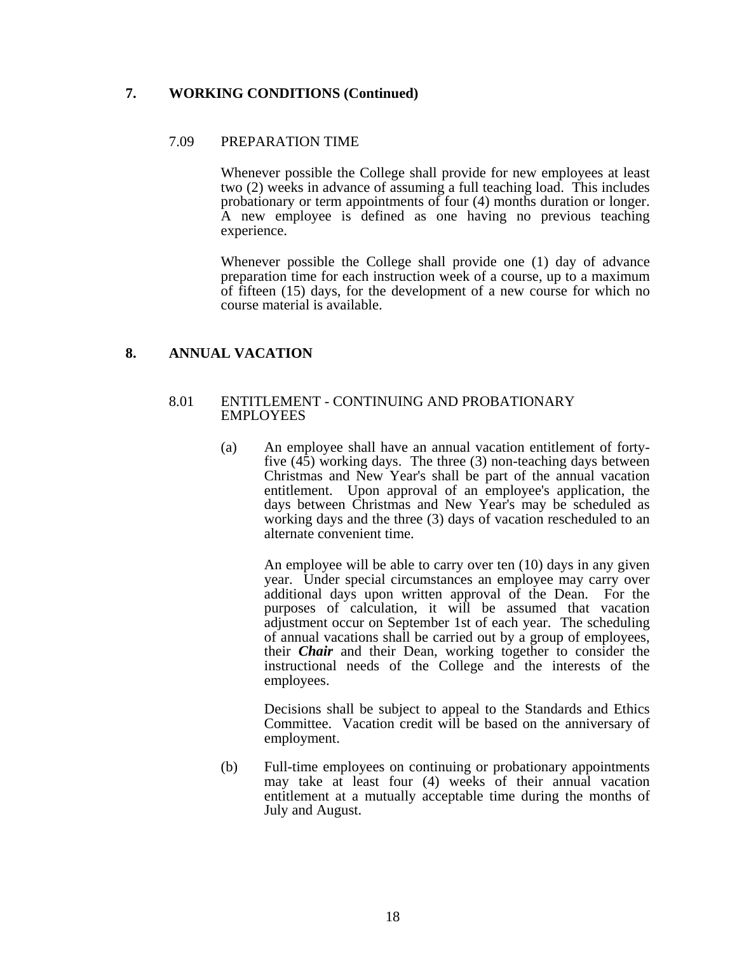## **7. WORKING CONDITIONS (Continued)**

### 7.09 PREPARATION TIME

 Whenever possible the College shall provide for new employees at least two (2) weeks in advance of assuming a full teaching load. This includes probationary or term appointments of four (4) months duration or longer. A new employee is defined as one having no previous teaching experience.

 Whenever possible the College shall provide one (1) day of advance preparation time for each instruction week of a course, up to a maximum of fifteen (15) days, for the development of a new course for which no course material is available.

### **8. ANNUAL VACATION**

#### 8.01 ENTITLEMENT - CONTINUING AND PROBATIONARY EMPLOYEES

 (a) An employee shall have an annual vacation entitlement of fortyfive (45) working days. The three (3) non-teaching days between Christmas and New Year's shall be part of the annual vacation entitlement. Upon approval of an employee's application, the days between Christmas and New Year's may be scheduled as working days and the three (3) days of vacation rescheduled to an alternate convenient time.

 An employee will be able to carry over ten (10) days in any given year. Under special circumstances an employee may carry over additional days upon written approval of the Dean. For the purposes of calculation, it will be assumed that vacation adjustment occur on September 1st of each year. The scheduling of annual vacations shall be carried out by a group of employees, their *Chair* and their Dean, working together to consider the instructional needs of the College and the interests of the employees.

 Decisions shall be subject to appeal to the Standards and Ethics Committee. Vacation credit will be based on the anniversary of employment.

 (b) Full-time employees on continuing or probationary appointments may take at least four (4) weeks of their annual vacation entitlement at a mutually acceptable time during the months of July and August.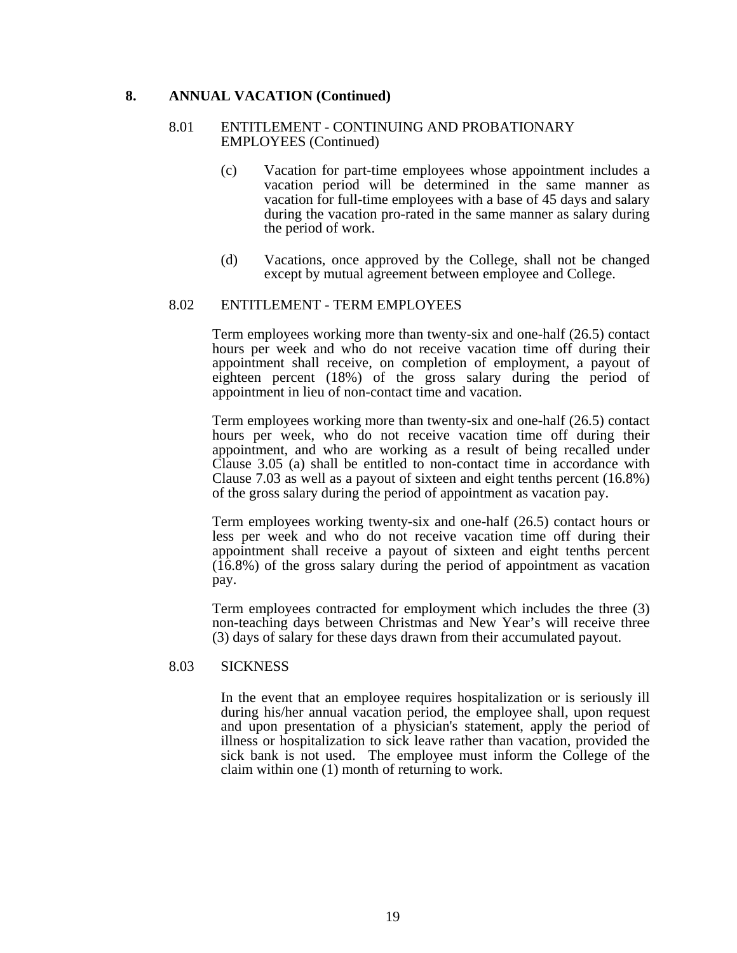#### **8. ANNUAL VACATION (Continued)**

#### 8.01 ENTITLEMENT - CONTINUING AND PROBATIONARY EMPLOYEES (Continued)

- (c) Vacation for part-time employees whose appointment includes a vacation period will be determined in the same manner as vacation for full-time employees with a base of 45 days and salary during the vacation pro-rated in the same manner as salary during the period of work.
- (d) Vacations, once approved by the College, shall not be changed except by mutual agreement between employee and College.

#### 8.02 ENTITLEMENT - TERM EMPLOYEES

 Term employees working more than twenty-six and one-half (26.5) contact hours per week and who do not receive vacation time off during their appointment shall receive, on completion of employment, a payout of eighteen percent (18%) of the gross salary during the period of appointment in lieu of non-contact time and vacation.

 Term employees working more than twenty-six and one-half (26.5) contact hours per week, who do not receive vacation time off during their appointment, and who are working as a result of being recalled under Clause 3.05 (a) shall be entitled to non-contact time in accordance with Clause 7.03 as well as a payout of sixteen and eight tenths percent (16.8%) of the gross salary during the period of appointment as vacation pay.

 Term employees working twenty-six and one-half (26.5) contact hours or less per week and who do not receive vacation time off during their appointment shall receive a payout of sixteen and eight tenths percent (16.8%) of the gross salary during the period of appointment as vacation pay.

 Term employees contracted for employment which includes the three (3) non-teaching days between Christmas and New Year's will receive three (3) days of salary for these days drawn from their accumulated payout.

#### 8.03 SICKNESS

 In the event that an employee requires hospitalization or is seriously ill during his/her annual vacation period, the employee shall, upon request and upon presentation of a physician's statement, apply the period of illness or hospitalization to sick leave rather than vacation, provided the sick bank is not used. The employee must inform the College of the claim within one (1) month of returning to work.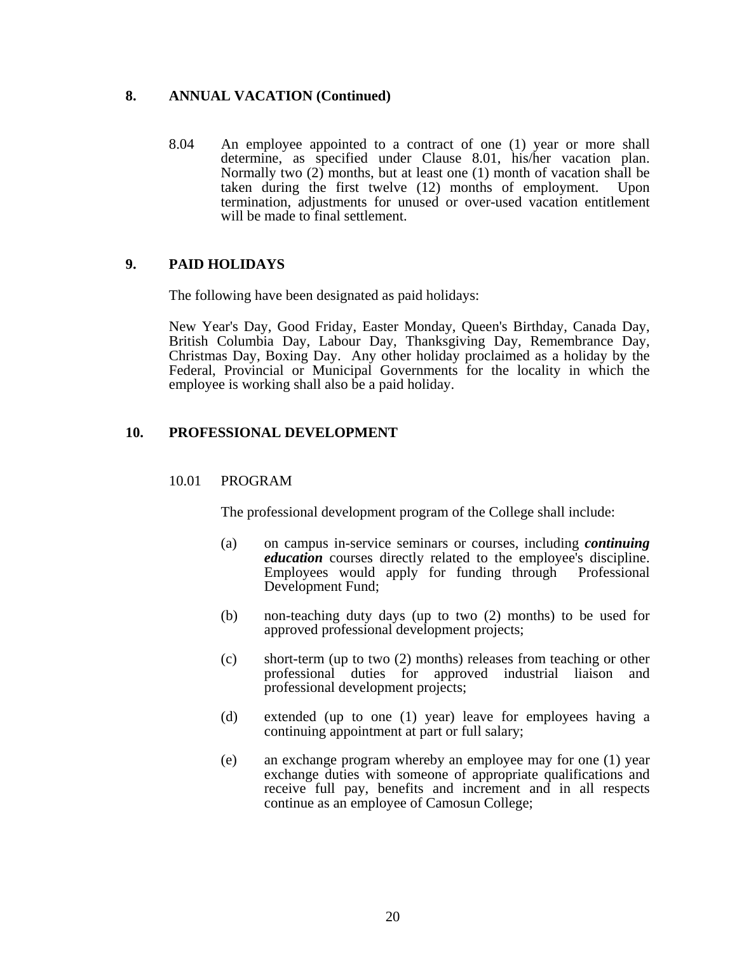### **8. ANNUAL VACATION (Continued)**

 8.04 An employee appointed to a contract of one (1) year or more shall determine, as specified under Clause 8.01, his/her vacation plan. Normally two  $(2)$  months, but at least one  $(1)$  month of vacation shall be taken during the first twelve (12) months of employment. Upon termination, adjustments for unused or over-used vacation entitlement will be made to final settlement.

## **9. PAID HOLIDAYS**

The following have been designated as paid holidays:

 New Year's Day, Good Friday, Easter Monday, Queen's Birthday, Canada Day, British Columbia Day, Labour Day, Thanksgiving Day, Remembrance Day, Christmas Day, Boxing Day. Any other holiday proclaimed as a holiday by the Federal, Provincial or Municipal Governments for the locality in which the employee is working shall also be a paid holiday.

## **10. PROFESSIONAL DEVELOPMENT**

#### 10.01 PROGRAM

The professional development program of the College shall include:

- (a) on campus in-service seminars or courses, including *continuing education* courses directly related to the employee's discipline. Employees would apply for funding through Professional Development Fund;
- (b) non-teaching duty days (up to two (2) months) to be used for approved professional development projects;
- (c) short-term (up to two (2) months) releases from teaching or other professional duties for approved industrial liaison and professional development projects;
- (d) extended (up to one (1) year) leave for employees having a continuing appointment at part or full salary;
- (e) an exchange program whereby an employee may for one (1) year exchange duties with someone of appropriate qualifications and receive full pay, benefits and increment and in all respects continue as an employee of Camosun College;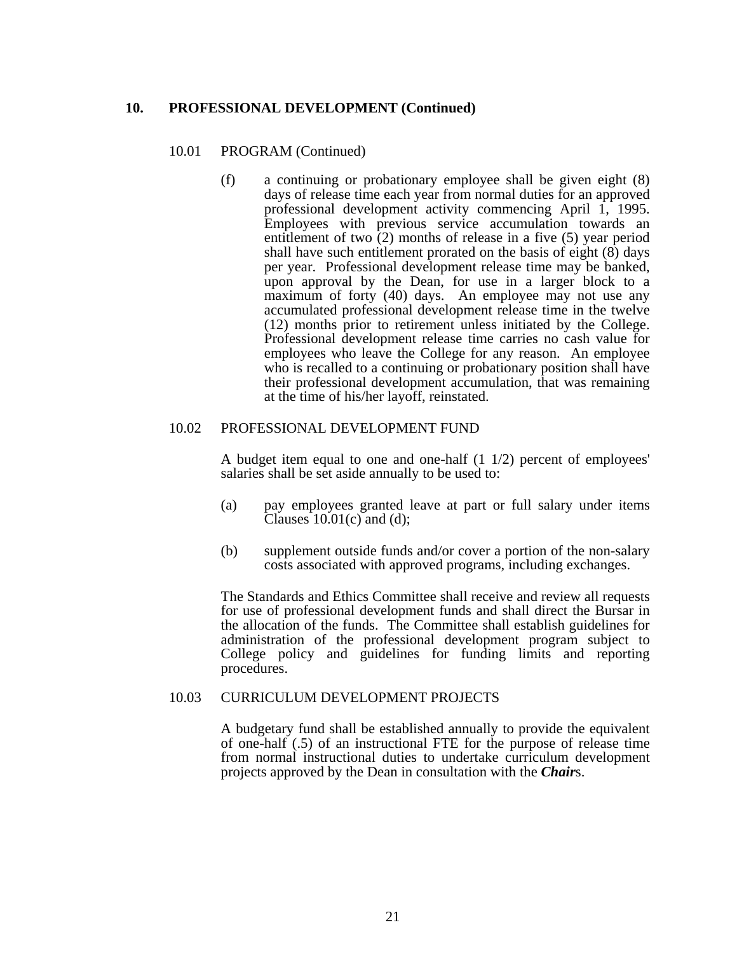#### **10. PROFESSIONAL DEVELOPMENT (Continued)**

#### 10.01 PROGRAM (Continued)

 (f) a continuing or probationary employee shall be given eight (8) days of release time each year from normal duties for an approved professional development activity commencing April 1, 1995. Employees with previous service accumulation towards an entitlement of two (2) months of release in a five (5) year period shall have such entitlement prorated on the basis of eight  $(8)$  days per year. Professional development release time may be banked, upon approval by the Dean, for use in a larger block to a maximum of forty (40) days. An employee may not use any accumulated professional development release time in the twelve (12) months prior to retirement unless initiated by the College. Professional development release time carries no cash value for employees who leave the College for any reason. An employee who is recalled to a continuing or probationary position shall have their professional development accumulation, that was remaining at the time of his/her layoff, reinstated.

#### 10.02 PROFESSIONAL DEVELOPMENT FUND

 A budget item equal to one and one-half (1 1/2) percent of employees' salaries shall be set aside annually to be used to:

- (a) pay employees granted leave at part or full salary under items Clauses  $10.01(c)$  and (d);
- (b) supplement outside funds and/or cover a portion of the non-salary costs associated with approved programs, including exchanges.

 The Standards and Ethics Committee shall receive and review all requests for use of professional development funds and shall direct the Bursar in the allocation of the funds. The Committee shall establish guidelines for administration of the professional development program subject to College policy and guidelines for funding limits and reporting procedures.

#### 10.03 CURRICULUM DEVELOPMENT PROJECTS

 A budgetary fund shall be established annually to provide the equivalent of one-half (.5) of an instructional FTE for the purpose of release time from normal instructional duties to undertake curriculum development projects approved by the Dean in consultation with the *Chair*s.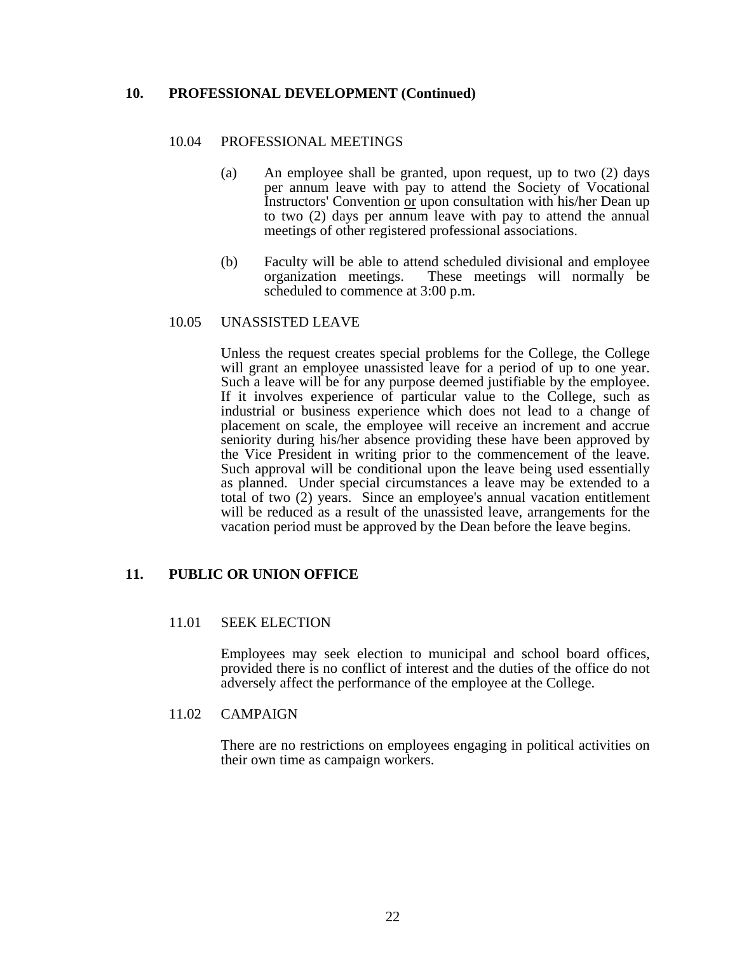### **10. PROFESSIONAL DEVELOPMENT (Continued)**

#### 10.04 PROFESSIONAL MEETINGS

- (a) An employee shall be granted, upon request, up to two (2) days per annum leave with pay to attend the Society of Vocational Instructors' Convention or upon consultation with his/her Dean up to two (2) days per annum leave with pay to attend the annual meetings of other registered professional associations.
- (b) Faculty will be able to attend scheduled divisional and employee organization meetings. These meetings will normally be scheduled to commence at 3:00 p.m.

#### 10.05 UNASSISTED LEAVE

 Unless the request creates special problems for the College, the College will grant an employee unassisted leave for a period of up to one year. Such a leave will be for any purpose deemed justifiable by the employee. If it involves experience of particular value to the College, such as industrial or business experience which does not lead to a change of placement on scale, the employee will receive an increment and accrue seniority during his/her absence providing these have been approved by the Vice President in writing prior to the commencement of the leave. Such approval will be conditional upon the leave being used essentially as planned. Under special circumstances a leave may be extended to a total of two (2) years. Since an employee's annual vacation entitlement will be reduced as a result of the unassisted leave, arrangements for the vacation period must be approved by the Dean before the leave begins.

### **11. PUBLIC OR UNION OFFICE**

#### 11.01 SEEK ELECTION

 Employees may seek election to municipal and school board offices, provided there is no conflict of interest and the duties of the office do not adversely affect the performance of the employee at the College.

#### 11.02 CAMPAIGN

 There are no restrictions on employees engaging in political activities on their own time as campaign workers.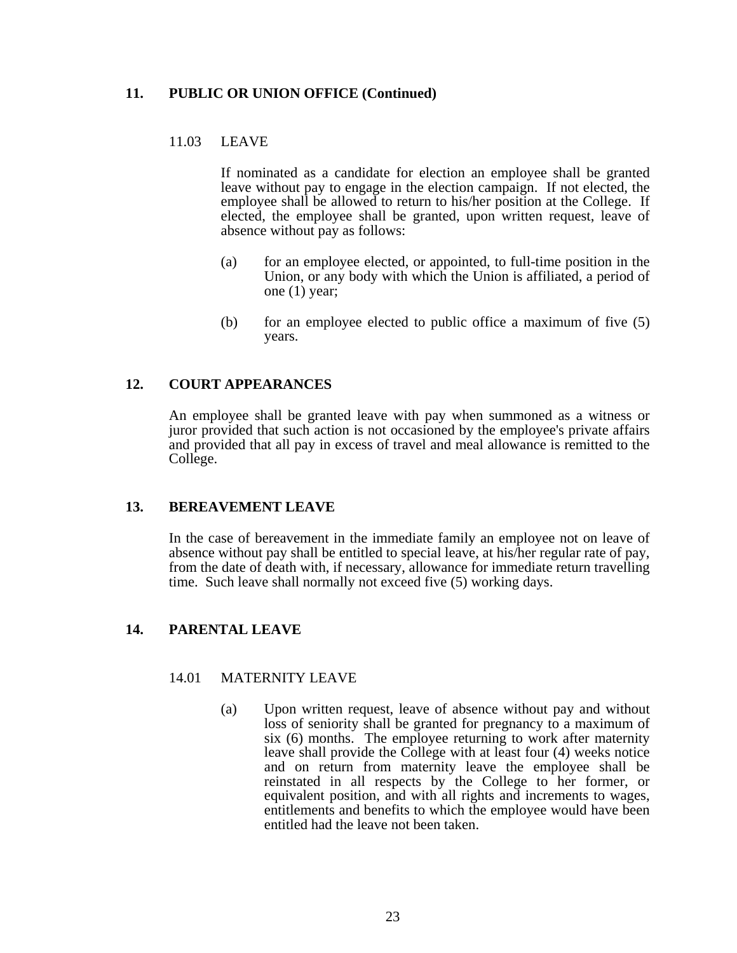## **11. PUBLIC OR UNION OFFICE (Continued)**

### 11.03 LEAVE

 If nominated as a candidate for election an employee shall be granted leave without pay to engage in the election campaign. If not elected, the employee shall be allowed to return to his/her position at the College. If elected, the employee shall be granted, upon written request, leave of absence without pay as follows:

- (a) for an employee elected, or appointed, to full-time position in the Union, or any body with which the Union is affiliated, a period of one (1) year;
- (b) for an employee elected to public office a maximum of five (5) years.

### **12. COURT APPEARANCES**

 An employee shall be granted leave with pay when summoned as a witness or juror provided that such action is not occasioned by the employee's private affairs and provided that all pay in excess of travel and meal allowance is remitted to the College.

#### **13. BEREAVEMENT LEAVE**

 In the case of bereavement in the immediate family an employee not on leave of absence without pay shall be entitled to special leave, at his/her regular rate of pay, from the date of death with, if necessary, allowance for immediate return travelling time. Such leave shall normally not exceed five (5) working days.

### **14. PARENTAL LEAVE**

#### 14.01 MATERNITY LEAVE

 (a) Upon written request, leave of absence without pay and without loss of seniority shall be granted for pregnancy to a maximum of six (6) months. The employee returning to work after maternity leave shall provide the College with at least four (4) weeks notice and on return from maternity leave the employee shall be reinstated in all respects by the College to her former, or equivalent position, and with all rights and increments to wages, entitlements and benefits to which the employee would have been entitled had the leave not been taken.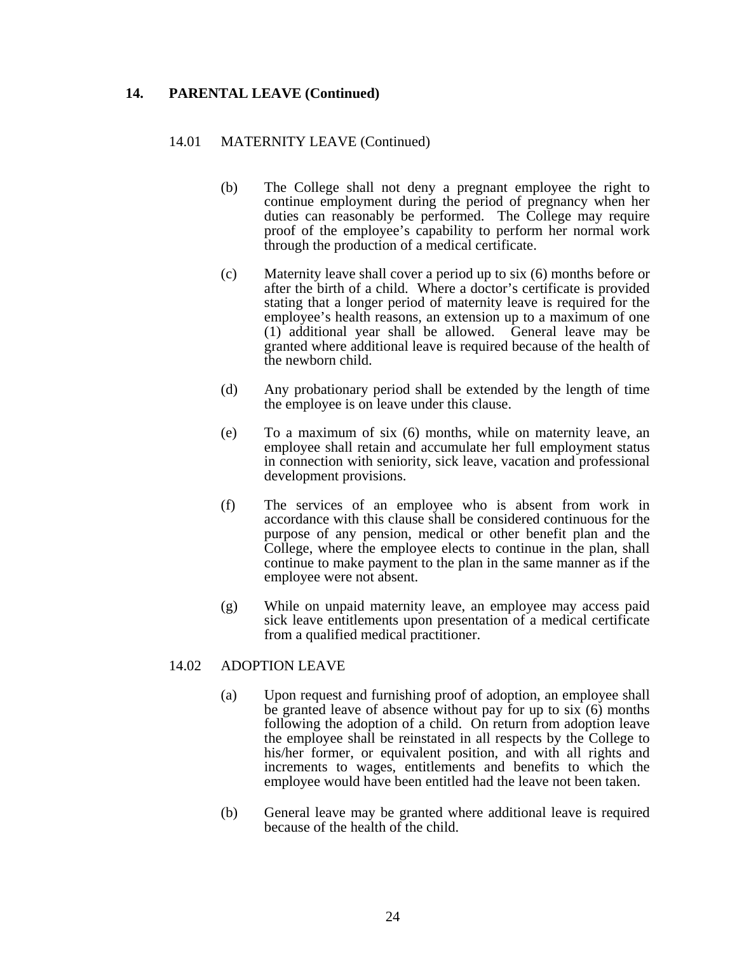### **14. PARENTAL LEAVE (Continued)**

#### 14.01 MATERNITY LEAVE (Continued)

- (b) The College shall not deny a pregnant employee the right to continue employment during the period of pregnancy when her duties can reasonably be performed. The College may require proof of the employee's capability to perform her normal work through the production of a medical certificate.
- (c) Maternity leave shall cover a period up to six (6) months before or after the birth of a child. Where a doctor's certificate is provided stating that a longer period of maternity leave is required for the employee's health reasons, an extension up to a maximum of one (1) additional year shall be allowed. General leave may be granted where additional leave is required because of the health of the newborn child.
- (d) Any probationary period shall be extended by the length of time the employee is on leave under this clause.
- (e) To a maximum of six (6) months, while on maternity leave, an employee shall retain and accumulate her full employment status in connection with seniority, sick leave, vacation and professional development provisions.
- (f) The services of an employee who is absent from work in accordance with this clause shall be considered continuous for the purpose of any pension, medical or other benefit plan and the College, where the employee elects to continue in the plan, shall continue to make payment to the plan in the same manner as if the employee were not absent.
- (g) While on unpaid maternity leave, an employee may access paid sick leave entitlements upon presentation of a medical certificate from a qualified medical practitioner.

### 14.02 ADOPTION LEAVE

- (a) Upon request and furnishing proof of adoption, an employee shall be granted leave of absence without pay for up to six (6) months following the adoption of a child. On return from adoption leave the employee shall be reinstated in all respects by the College to his/her former, or equivalent position, and with all rights and increments to wages, entitlements and benefits to which the employee would have been entitled had the leave not been taken.
- (b) General leave may be granted where additional leave is required because of the health of the child.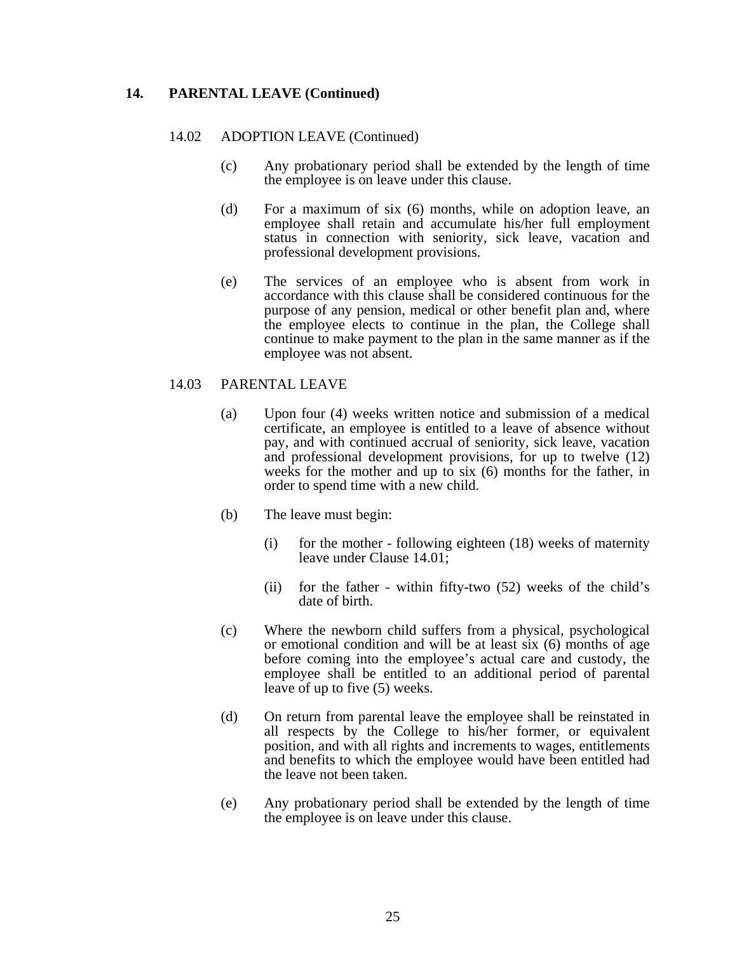### **14. PARENTAL LEAVE (Continued)**

#### 14.02 ADOPTION LEAVE (Continued)

- (c) Any probationary period shall be extended by the length of time the employee is on leave under this clause.
- (d) For a maximum of six (6) months, while on adoption leave, an employee shall retain and accumulate his/her full employment status in connection with seniority, sick leave, vacation and professional development provisions.
- (e) The services of an employee who is absent from work in accordance with this clause shall be considered continuous for the purpose of any pension, medical or other benefit plan and, where the employee elects to continue in the plan, the College shall continue to make payment to the plan in the same manner as if the employee was not absent.

#### 14.03 PARENTAL LEAVE

- (a) Upon four (4) weeks written notice and submission of a medical certificate, an employee is entitled to a leave of absence without pay, and with continued accrual of seniority, sick leave, vacation and professional development provisions, for up to twelve (12) weeks for the mother and up to six (6) months for the father, in order to spend time with a new child.
- (b) The leave must begin:
	- (i) for the mother following eighteen (18) weeks of maternity leave under Clause 14.01;
	- (ii) for the father within fifty-two (52) weeks of the child's date of birth.
- (c) Where the newborn child suffers from a physical, psychological or emotional condition and will be at least six (6) months of age before coming into the employee's actual care and custody, the employee shall be entitled to an additional period of parental leave of up to five (5) weeks.
- (d) On return from parental leave the employee shall be reinstated in all respects by the College to his/her former, or equivalent position, and with all rights and increments to wages, entitlements and benefits to which the employee would have been entitled had the leave not been taken.
- (e) Any probationary period shall be extended by the length of time the employee is on leave under this clause.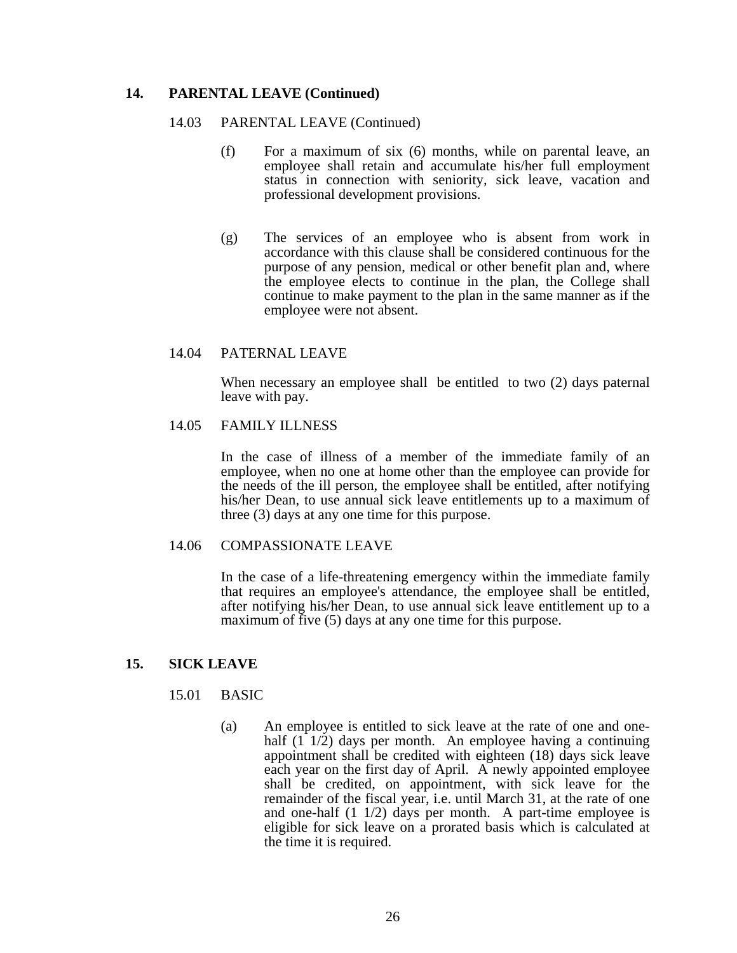### **14. PARENTAL LEAVE (Continued)**

#### 14.03 PARENTAL LEAVE (Continued)

- (f) For a maximum of six (6) months, while on parental leave, an employee shall retain and accumulate his/her full employment status in connection with seniority, sick leave, vacation and professional development provisions.
- (g) The services of an employee who is absent from work in accordance with this clause shall be considered continuous for the purpose of any pension, medical or other benefit plan and, where the employee elects to continue in the plan, the College shall continue to make payment to the plan in the same manner as if the employee were not absent.

### 14.04 PATERNAL LEAVE

 When necessary an employee shall be entitled to two (2) days paternal leave with pay.

#### 14.05 FAMILY ILLNESS

 In the case of illness of a member of the immediate family of an employee, when no one at home other than the employee can provide for the needs of the ill person, the employee shall be entitled, after notifying his/her Dean, to use annual sick leave entitlements up to a maximum of three (3) days at any one time for this purpose.

#### 14.06 COMPASSIONATE LEAVE

 In the case of a life-threatening emergency within the immediate family that requires an employee's attendance, the employee shall be entitled, after notifying his/her Dean, to use annual sick leave entitlement up to a maximum of five (5) days at any one time for this purpose.

#### **15. SICK LEAVE**

#### 15.01 BASIC

 (a) An employee is entitled to sick leave at the rate of one and onehalf  $(1 \ 1/2)$  days per month. An employee having a continuing appointment shall be credited with eighteen (18) days sick leave each year on the first day of April. A newly appointed employee shall be credited, on appointment, with sick leave for the remainder of the fiscal year, i.e. until March 31, at the rate of one and one-half (1 1/2) days per month. A part-time employee is eligible for sick leave on a prorated basis which is calculated at the time it is required.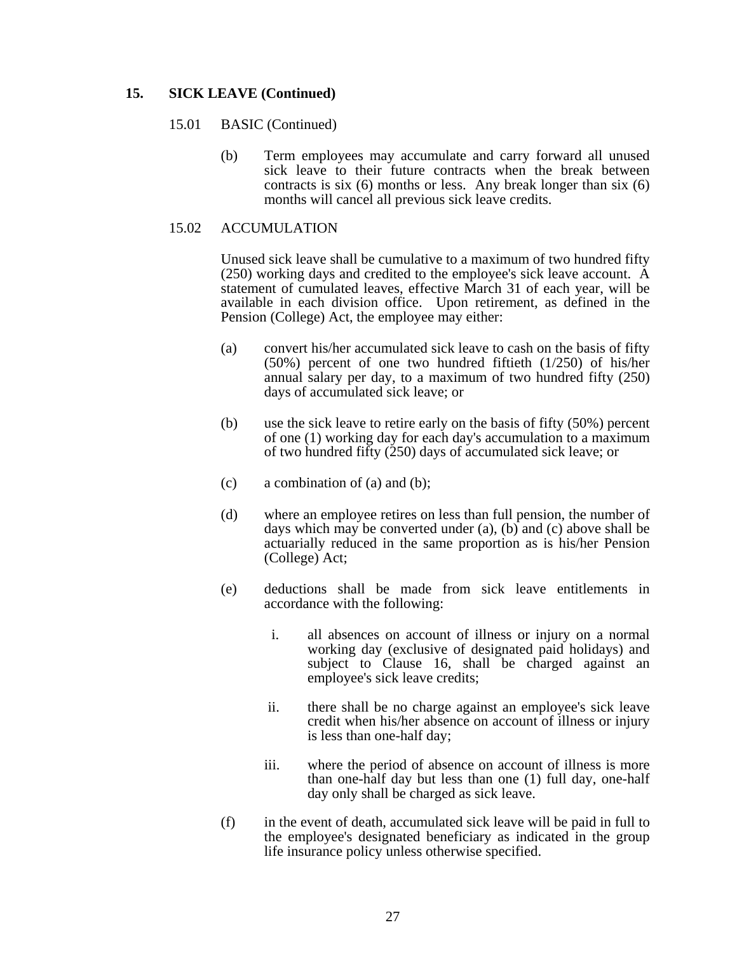## **15. SICK LEAVE (Continued)**

#### 15.01 BASIC (Continued)

 (b) Term employees may accumulate and carry forward all unused sick leave to their future contracts when the break between contracts is six (6) months or less. Any break longer than six (6) months will cancel all previous sick leave credits.

### 15.02 ACCUMULATION

 Unused sick leave shall be cumulative to a maximum of two hundred fifty (250) working days and credited to the employee's sick leave account. A statement of cumulated leaves, effective March 31 of each year, will be available in each division office. Upon retirement, as defined in the Pension (College) Act, the employee may either:

- (a) convert his/her accumulated sick leave to cash on the basis of fifty (50%) percent of one two hundred fiftieth (1/250) of his/her annual salary per day, to a maximum of two hundred fifty (250) days of accumulated sick leave; or
- (b) use the sick leave to retire early on the basis of fifty (50%) percent of one (1) working day for each day's accumulation to a maximum of two hundred fifty (250) days of accumulated sick leave; or
- (c) a combination of (a) and (b);
- (d) where an employee retires on less than full pension, the number of days which may be converted under (a), (b) and (c) above shall be actuarially reduced in the same proportion as is his/her Pension (College) Act;
- (e) deductions shall be made from sick leave entitlements in accordance with the following:
	- i. all absences on account of illness or injury on a normal working day (exclusive of designated paid holidays) and subject to Clause 16, shall be charged against an employee's sick leave credits;
	- ii. there shall be no charge against an employee's sick leave credit when his/her absence on account of illness or injury is less than one-half day;
	- iii. where the period of absence on account of illness is more than one-half day but less than one (1) full day, one-half day only shall be charged as sick leave.
- (f) in the event of death, accumulated sick leave will be paid in full to the employee's designated beneficiary as indicated in the group life insurance policy unless otherwise specified.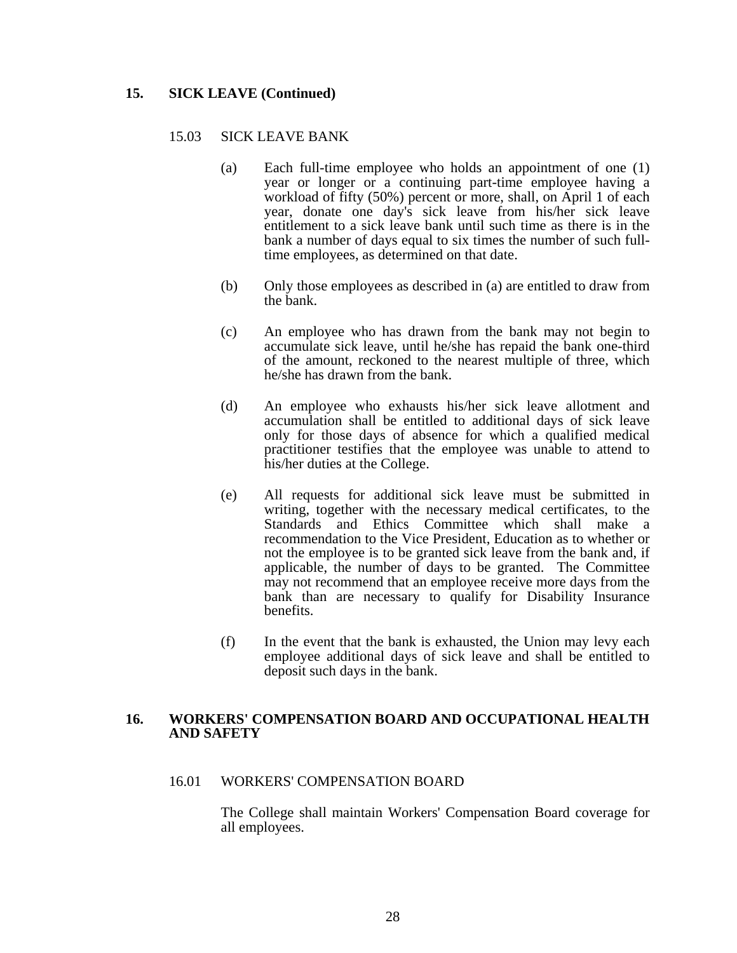### **15. SICK LEAVE (Continued)**

#### 15.03 SICK LEAVE BANK

- (a) Each full-time employee who holds an appointment of one (1) year or longer or a continuing part-time employee having a workload of fifty (50%) percent or more, shall, on April 1 of each year, donate one day's sick leave from his/her sick leave entitlement to a sick leave bank until such time as there is in the bank a number of days equal to six times the number of such fulltime employees, as determined on that date.
- (b) Only those employees as described in (a) are entitled to draw from the bank.
- (c) An employee who has drawn from the bank may not begin to accumulate sick leave, until he/she has repaid the bank one-third of the amount, reckoned to the nearest multiple of three, which he/she has drawn from the bank.
- (d) An employee who exhausts his/her sick leave allotment and accumulation shall be entitled to additional days of sick leave only for those days of absence for which a qualified medical practitioner testifies that the employee was unable to attend to his/her duties at the College.
- (e) All requests for additional sick leave must be submitted in writing, together with the necessary medical certificates, to the Standards and Ethics Committee which shall make a recommendation to the Vice President, Education as to whether or not the employee is to be granted sick leave from the bank and, if applicable, the number of days to be granted. The Committee may not recommend that an employee receive more days from the bank than are necessary to qualify for Disability Insurance benefits.
- (f) In the event that the bank is exhausted, the Union may levy each employee additional days of sick leave and shall be entitled to deposit such days in the bank.

#### **16. WORKERS' COMPENSATION BOARD AND OCCUPATIONAL HEALTH AND SAFETY**

#### 16.01 WORKERS' COMPENSATION BOARD

 The College shall maintain Workers' Compensation Board coverage for all employees.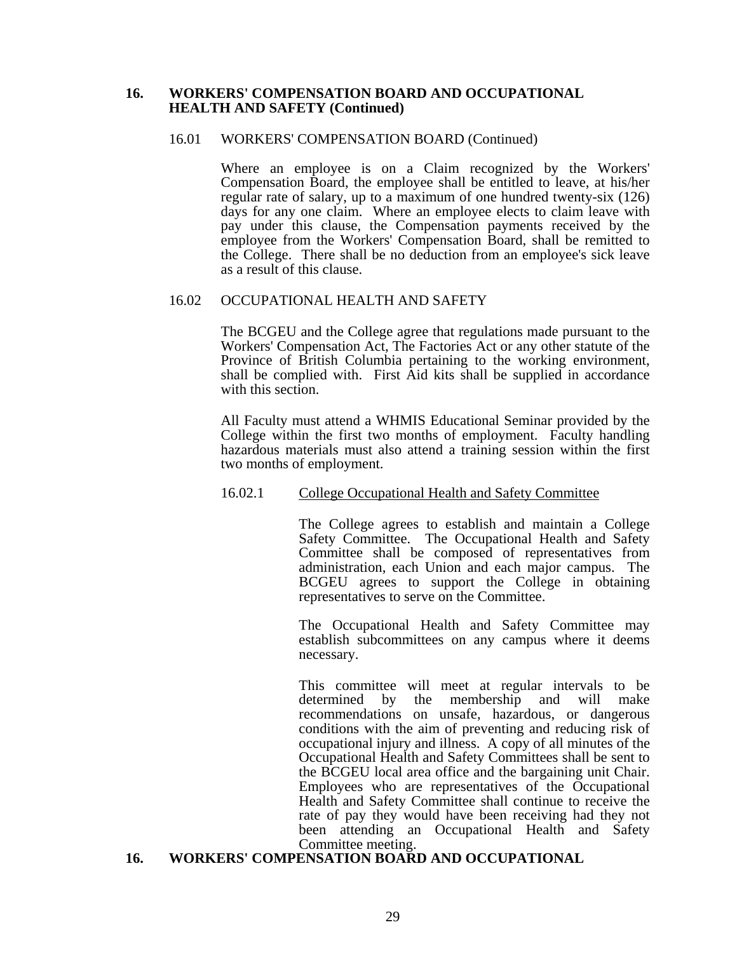#### **16. WORKERS' COMPENSATION BOARD AND OCCUPATIONAL HEALTH AND SAFETY (Continued)**

#### 16.01 WORKERS' COMPENSATION BOARD (Continued)

 Where an employee is on a Claim recognized by the Workers' Compensation Board, the employee shall be entitled to leave, at his/her regular rate of salary, up to a maximum of one hundred twenty-six (126) days for any one claim. Where an employee elects to claim leave with pay under this clause, the Compensation payments received by the employee from the Workers' Compensation Board, shall be remitted to the College. There shall be no deduction from an employee's sick leave as a result of this clause.

### 16.02 OCCUPATIONAL HEALTH AND SAFETY

 The BCGEU and the College agree that regulations made pursuant to the Workers' Compensation Act, The Factories Act or any other statute of the Province of British Columbia pertaining to the working environment, shall be complied with. First Aid kits shall be supplied in accordance with this section.

 All Faculty must attend a WHMIS Educational Seminar provided by the College within the first two months of employment. Faculty handling hazardous materials must also attend a training session within the first two months of employment.

#### 16.02.1 College Occupational Health and Safety Committee

 The College agrees to establish and maintain a College Safety Committee. The Occupational Health and Safety Committee shall be composed of representatives from administration, each Union and each major campus. The BCGEU agrees to support the College in obtaining representatives to serve on the Committee.

 The Occupational Health and Safety Committee may establish subcommittees on any campus where it deems necessary.

 This committee will meet at regular intervals to be determined by the membership and will make recommendations on unsafe, hazardous, or dangerous conditions with the aim of preventing and reducing risk of occupational injury and illness. A copy of all minutes of the Occupational Health and Safety Committees shall be sent to the BCGEU local area office and the bargaining unit Chair. Employees who are representatives of the Occupational Health and Safety Committee shall continue to receive the rate of pay they would have been receiving had they not been attending an Occupational Health and Safety Committee meeting.

#### **16. WORKERS' COMPENSATION BOARD AND OCCUPATIONAL**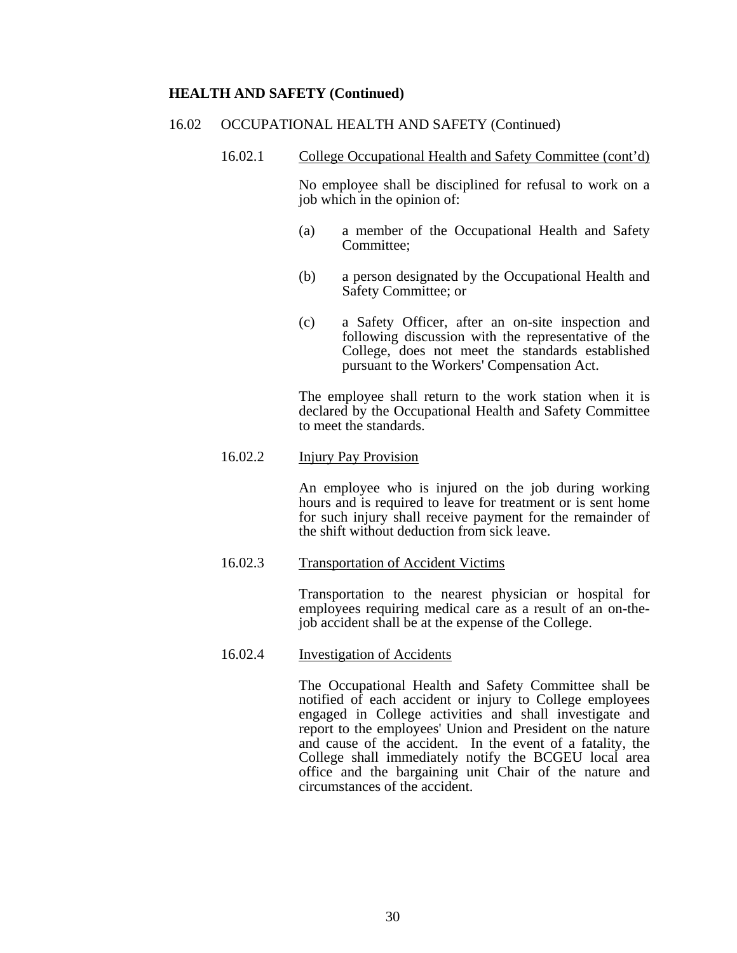### **HEALTH AND SAFETY (Continued)**

#### 16.02 OCCUPATIONAL HEALTH AND SAFETY (Continued)

16.02.1 College Occupational Health and Safety Committee (cont'd)

 No employee shall be disciplined for refusal to work on a job which in the opinion of:

- (a) a member of the Occupational Health and Safety Committee;
- (b) a person designated by the Occupational Health and Safety Committee; or
- (c) a Safety Officer, after an on-site inspection and following discussion with the representative of the College, does not meet the standards established pursuant to the Workers' Compensation Act.

 The employee shall return to the work station when it is declared by the Occupational Health and Safety Committee to meet the standards.

### 16.02.2 Injury Pay Provision

 An employee who is injured on the job during working hours and is required to leave for treatment or is sent home for such injury shall receive payment for the remainder of the shift without deduction from sick leave.

16.02.3 Transportation of Accident Victims

 Transportation to the nearest physician or hospital for employees requiring medical care as a result of an on-thejob accident shall be at the expense of the College.

#### 16.02.4 Investigation of Accidents

 The Occupational Health and Safety Committee shall be notified of each accident or injury to College employees engaged in College activities and shall investigate and report to the employees' Union and President on the nature and cause of the accident. In the event of a fatality, the College shall immediately notify the BCGEU local area office and the bargaining unit Chair of the nature and circumstances of the accident.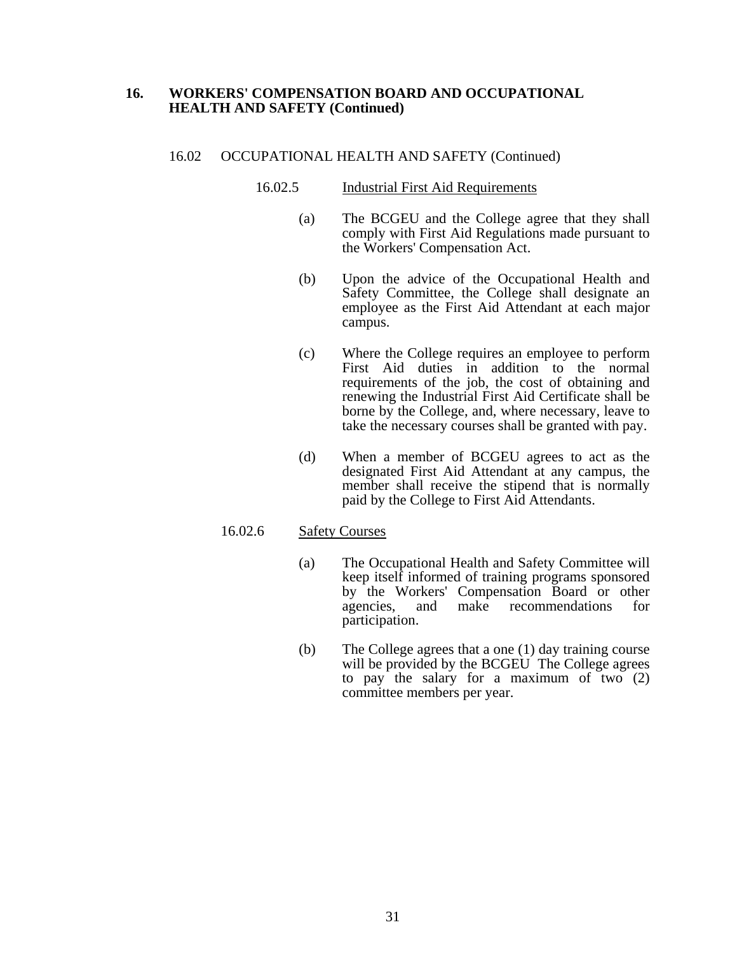### **16. WORKERS' COMPENSATION BOARD AND OCCUPATIONAL HEALTH AND SAFETY (Continued)**

#### 16.02 OCCUPATIONAL HEALTH AND SAFETY (Continued)

### 16.02.5 Industrial First Aid Requirements

- (a) The BCGEU and the College agree that they shall comply with First Aid Regulations made pursuant to the Workers' Compensation Act.
- (b) Upon the advice of the Occupational Health and Safety Committee, the College shall designate an employee as the First Aid Attendant at each major campus.
- (c) Where the College requires an employee to perform First Aid duties in addition to the normal requirements of the job, the cost of obtaining and renewing the Industrial First Aid Certificate shall be borne by the College, and, where necessary, leave to take the necessary courses shall be granted with pay.
- (d) When a member of BCGEU agrees to act as the designated First Aid Attendant at any campus, the member shall receive the stipend that is normally paid by the College to First Aid Attendants.

#### 16.02.6 Safety Courses

- (a) The Occupational Health and Safety Committee will keep itself informed of training programs sponsored by the Workers' Compensation Board or other agencies, and make recommendations for participation.
- (b) The College agrees that a one (1) day training course will be provided by the BCGEU The College agrees to pay the salary for a maximum of two (2) committee members per year.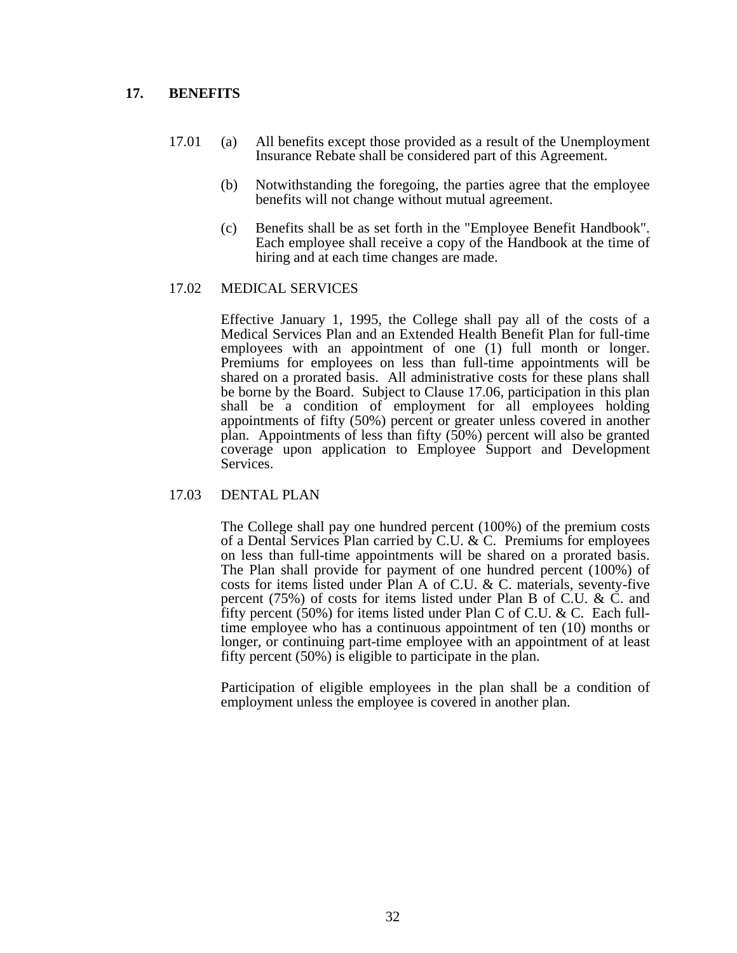## **17. BENEFITS**

- 17.01 (a) All benefits except those provided as a result of the Unemployment Insurance Rebate shall be considered part of this Agreement.
	- (b) Notwithstanding the foregoing, the parties agree that the employee benefits will not change without mutual agreement.
	- (c) Benefits shall be as set forth in the "Employee Benefit Handbook". Each employee shall receive a copy of the Handbook at the time of hiring and at each time changes are made.

### 17.02 MEDICAL SERVICES

 Effective January 1, 1995, the College shall pay all of the costs of a Medical Services Plan and an Extended Health Benefit Plan for full-time employees with an appointment of one (1) full month or longer. Premiums for employees on less than full-time appointments will be shared on a prorated basis. All administrative costs for these plans shall be borne by the Board. Subject to Clause 17.06, participation in this plan shall be a condition of employment for all employees holding appointments of fifty (50%) percent or greater unless covered in another plan. Appointments of less than fifty (50%) percent will also be granted coverage upon application to Employee Support and Development Services.

#### 17.03 DENTAL PLAN

 The College shall pay one hundred percent (100%) of the premium costs of a Dental Services Plan carried by C.U. & C. Premiums for employees on less than full-time appointments will be shared on a prorated basis. The Plan shall provide for payment of one hundred percent (100%) of costs for items listed under Plan A of C.U. & C. materials, seventy-five percent (75%) of costs for items listed under Plan B of C.U. & C. and fifty percent (50%) for items listed under Plan C of C.U. & C. Each fulltime employee who has a continuous appointment of ten (10) months or longer, or continuing part-time employee with an appointment of at least fifty percent (50%) is eligible to participate in the plan.

 Participation of eligible employees in the plan shall be a condition of employment unless the employee is covered in another plan.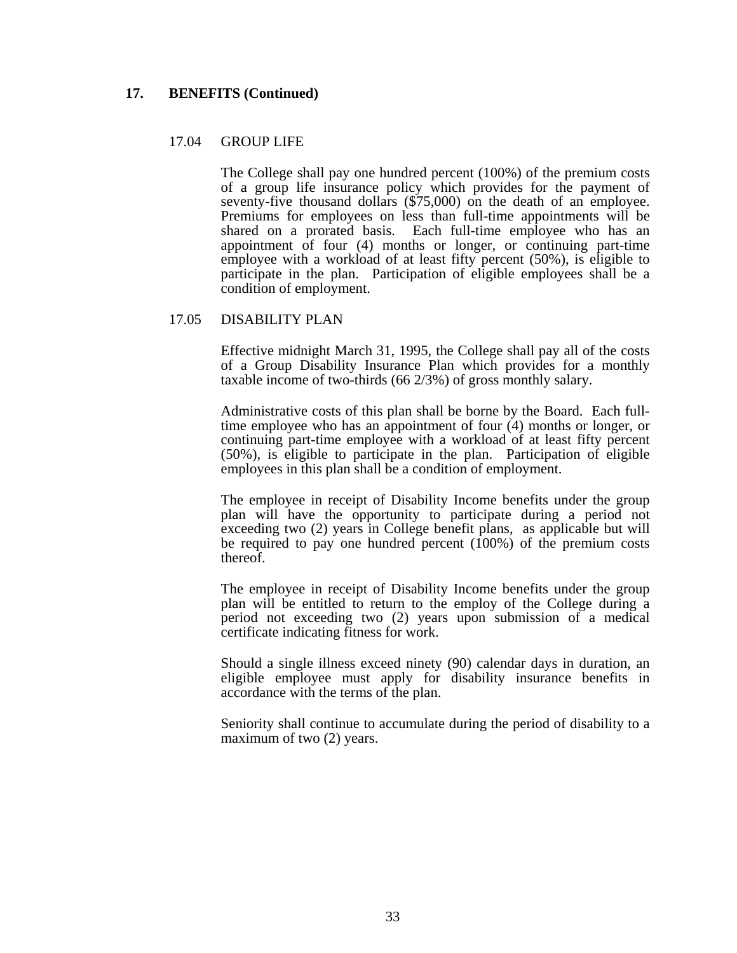### **17. BENEFITS (Continued)**

### 17.04 GROUP LIFE

 The College shall pay one hundred percent (100%) of the premium costs of a group life insurance policy which provides for the payment of seventy-five thousand dollars (\$75,000) on the death of an employee. Premiums for employees on less than full-time appointments will be shared on a prorated basis. Each full-time employee who has an appointment of four (4) months or longer, or continuing part-time employee with a workload of at least fifty percent (50%), is eligible to participate in the plan. Participation of eligible employees shall be a condition of employment.

#### 17.05 DISABILITY PLAN

 Effective midnight March 31, 1995, the College shall pay all of the costs of a Group Disability Insurance Plan which provides for a monthly taxable income of two-thirds (66 2/3%) of gross monthly salary.

 Administrative costs of this plan shall be borne by the Board. Each fulltime employee who has an appointment of four (4) months or longer, or continuing part-time employee with a workload of at least fifty percent (50%), is eligible to participate in the plan. Participation of eligible employees in this plan shall be a condition of employment.

 The employee in receipt of Disability Income benefits under the group plan will have the opportunity to participate during a period not exceeding two (2) years in College benefit plans, as applicable but will be required to pay one hundred percent (100%) of the premium costs thereof.

 The employee in receipt of Disability Income benefits under the group plan will be entitled to return to the employ of the College during a period not exceeding two (2) years upon submission of a medical certificate indicating fitness for work.

 Should a single illness exceed ninety (90) calendar days in duration, an eligible employee must apply for disability insurance benefits in accordance with the terms of the plan.

 Seniority shall continue to accumulate during the period of disability to a maximum of two (2) years.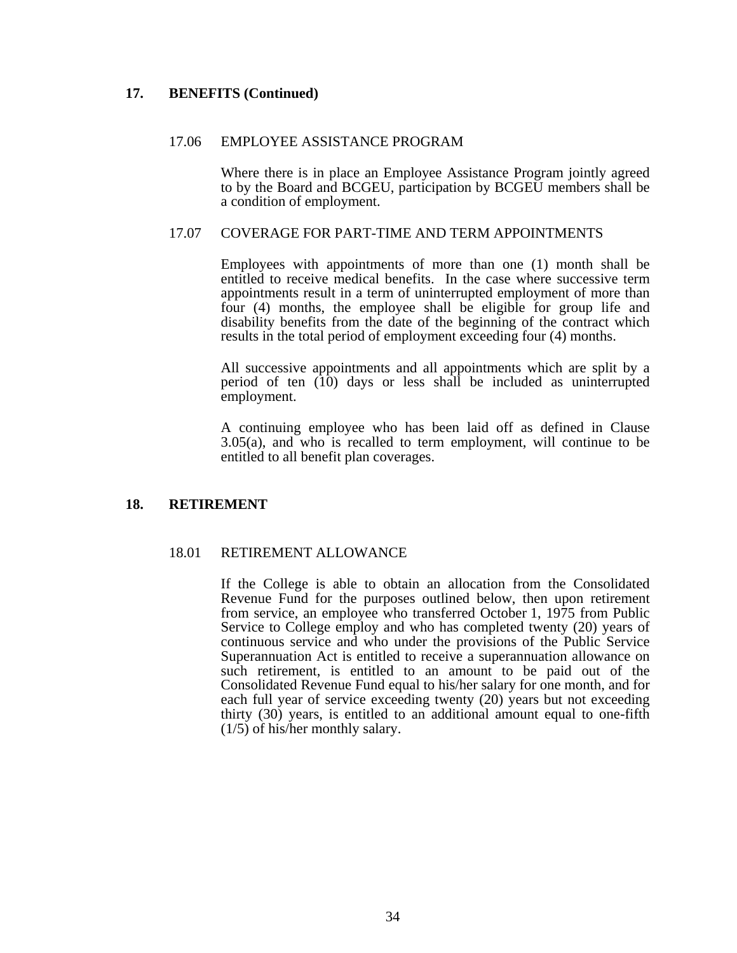### **17. BENEFITS (Continued)**

#### 17.06 EMPLOYEE ASSISTANCE PROGRAM

 Where there is in place an Employee Assistance Program jointly agreed to by the Board and BCGEU, participation by BCGEU members shall be a condition of employment.

#### 17.07 COVERAGE FOR PART-TIME AND TERM APPOINTMENTS

 Employees with appointments of more than one (1) month shall be entitled to receive medical benefits. In the case where successive term appointments result in a term of uninterrupted employment of more than four (4) months, the employee shall be eligible for group life and disability benefits from the date of the beginning of the contract which results in the total period of employment exceeding four (4) months.

 All successive appointments and all appointments which are split by a period of ten (10) days or less shall be included as uninterrupted employment.

 A continuing employee who has been laid off as defined in Clause 3.05(a), and who is recalled to term employment, will continue to be entitled to all benefit plan coverages.

#### **18. RETIREMENT**

#### 18.01 RETIREMENT ALLOWANCE

 If the College is able to obtain an allocation from the Consolidated Revenue Fund for the purposes outlined below, then upon retirement from service, an employee who transferred October 1, 1975 from Public Service to College employ and who has completed twenty (20) years of continuous service and who under the provisions of the Public Service Superannuation Act is entitled to receive a superannuation allowance on such retirement, is entitled to an amount to be paid out of the Consolidated Revenue Fund equal to his/her salary for one month, and for each full year of service exceeding twenty (20) years but not exceeding thirty (30) years, is entitled to an additional amount equal to one-fifth (1/5) of his/her monthly salary.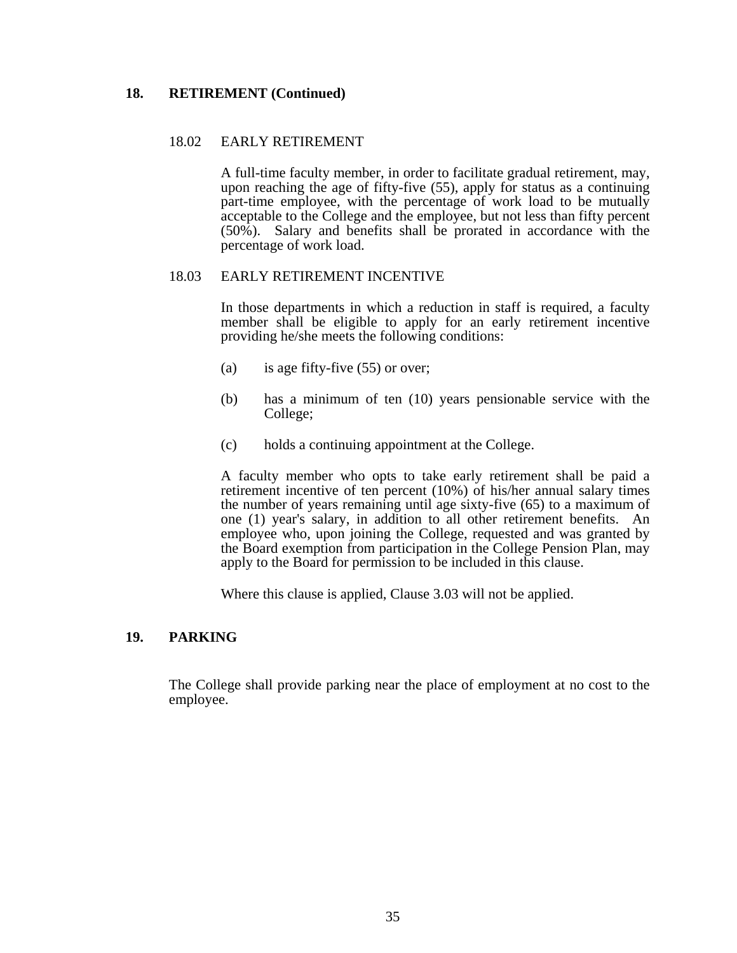### **18. RETIREMENT (Continued)**

### 18.02 EARLY RETIREMENT

 A full-time faculty member, in order to facilitate gradual retirement, may, upon reaching the age of fifty-five (55), apply for status as a continuing part-time employee, with the percentage of work load to be mutually acceptable to the College and the employee, but not less than fifty percent (50%). Salary and benefits shall be prorated in accordance with the percentage of work load.

### 18.03 EARLY RETIREMENT INCENTIVE

 In those departments in which a reduction in staff is required, a faculty member shall be eligible to apply for an early retirement incentive providing he/she meets the following conditions:

- (a) is age fifty-five  $(55)$  or over;
- (b) has a minimum of ten (10) years pensionable service with the College;
- (c) holds a continuing appointment at the College.

 A faculty member who opts to take early retirement shall be paid a retirement incentive of ten percent (10%) of his/her annual salary times the number of years remaining until age sixty-five (65) to a maximum of one (1) year's salary, in addition to all other retirement benefits. An employee who, upon joining the College, requested and was granted by the Board exemption from participation in the College Pension Plan, may apply to the Board for permission to be included in this clause.

Where this clause is applied, Clause 3.03 will not be applied.

## **19. PARKING**

 The College shall provide parking near the place of employment at no cost to the employee.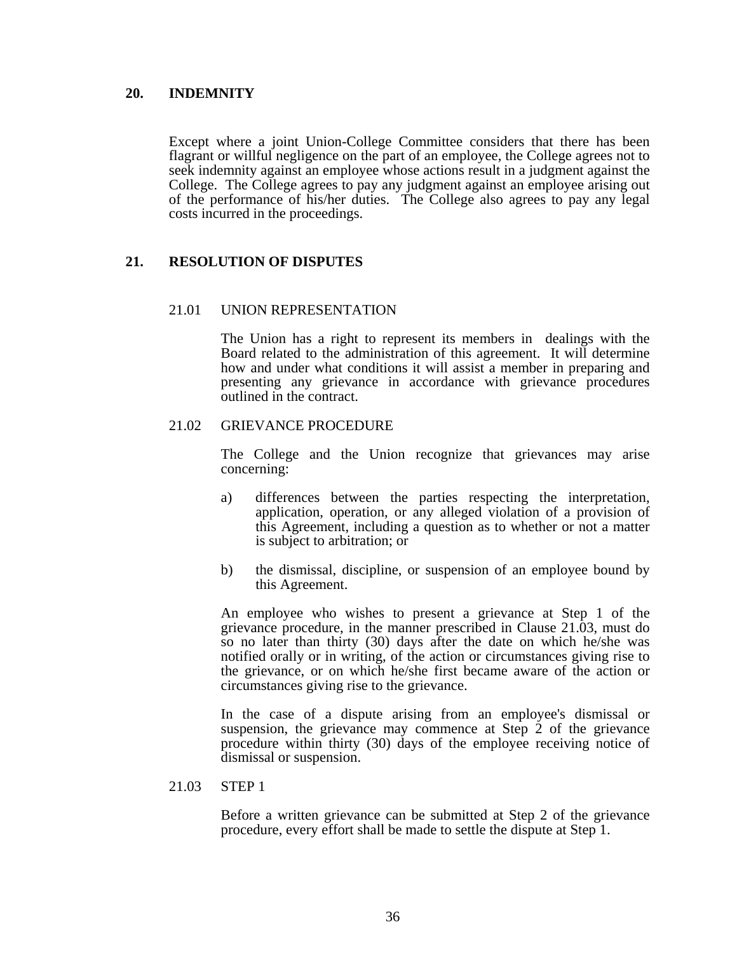### **20. INDEMNITY**

 Except where a joint Union-College Committee considers that there has been flagrant or willful negligence on the part of an employee, the College agrees not to seek indemnity against an employee whose actions result in a judgment against the College. The College agrees to pay any judgment against an employee arising out of the performance of his/her duties. The College also agrees to pay any legal costs incurred in the proceedings.

## **21. RESOLUTION OF DISPUTES**

#### 21.01 UNION REPRESENTATION

 The Union has a right to represent its members in dealings with the Board related to the administration of this agreement. It will determine how and under what conditions it will assist a member in preparing and presenting any grievance in accordance with grievance procedures outlined in the contract.

### 21.02 GRIEVANCE PROCEDURE

 The College and the Union recognize that grievances may arise concerning:

- a) differences between the parties respecting the interpretation, application, operation, or any alleged violation of a provision of this Agreement, including a question as to whether or not a matter is subject to arbitration; or
- b) the dismissal, discipline, or suspension of an employee bound by this Agreement.

 An employee who wishes to present a grievance at Step 1 of the grievance procedure, in the manner prescribed in Clause 21.03, must do so no later than thirty (30) days after the date on which he/she was notified orally or in writing, of the action or circumstances giving rise to the grievance, or on which he/she first became aware of the action or circumstances giving rise to the grievance.

 In the case of a dispute arising from an employee's dismissal or suspension, the grievance may commence at Step 2 of the grievance procedure within thirty (30) days of the employee receiving notice of dismissal or suspension.

#### 21.03 STEP 1

 Before a written grievance can be submitted at Step 2 of the grievance procedure, every effort shall be made to settle the dispute at Step 1.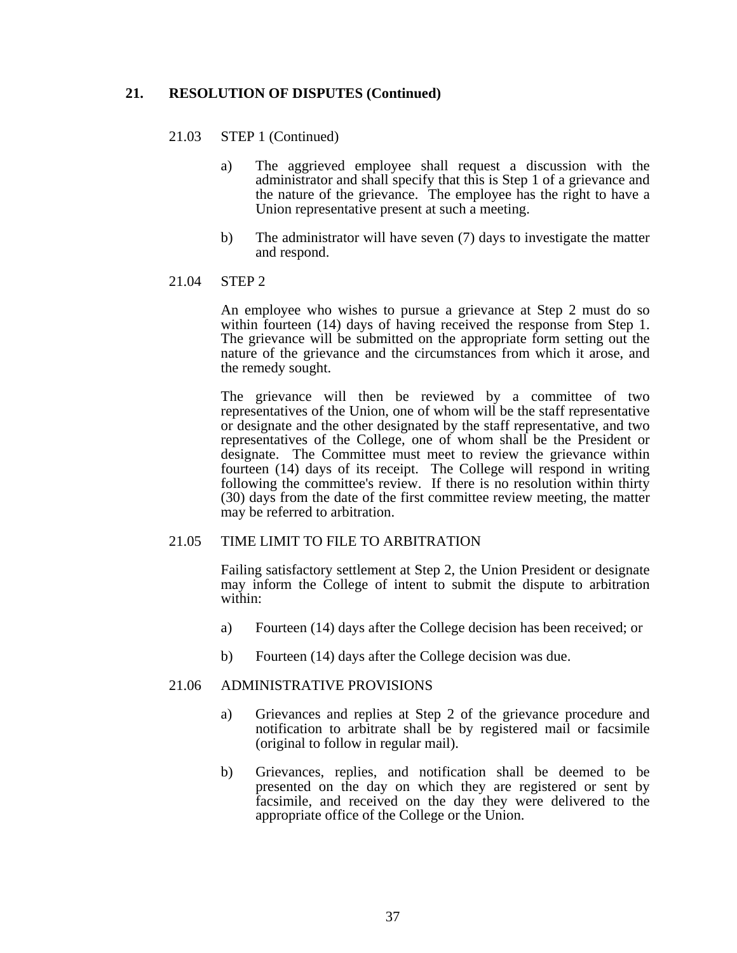### **21. RESOLUTION OF DISPUTES (Continued)**

#### 21.03 STEP 1 (Continued)

- a) The aggrieved employee shall request a discussion with the administrator and shall specify that this is Step 1 of a grievance and the nature of the grievance. The employee has the right to have a Union representative present at such a meeting.
- b) The administrator will have seven (7) days to investigate the matter and respond.

#### 21.04 STEP 2

 An employee who wishes to pursue a grievance at Step 2 must do so within fourteen (14) days of having received the response from Step 1. The grievance will be submitted on the appropriate form setting out the nature of the grievance and the circumstances from which it arose, and the remedy sought.

 The grievance will then be reviewed by a committee of two representatives of the Union, one of whom will be the staff representative or designate and the other designated by the staff representative, and two representatives of the College, one of whom shall be the President or designate. The Committee must meet to review the grievance within fourteen (14) days of its receipt. The College will respond in writing following the committee's review. If there is no resolution within thirty (30) days from the date of the first committee review meeting, the matter may be referred to arbitration.

#### 21.05 TIME LIMIT TO FILE TO ARBITRATION

 Failing satisfactory settlement at Step 2, the Union President or designate may inform the College of intent to submit the dispute to arbitration within:

- a) Fourteen (14) days after the College decision has been received; or
- b) Fourteen (14) days after the College decision was due.

#### 21.06 ADMINISTRATIVE PROVISIONS

- a) Grievances and replies at Step 2 of the grievance procedure and notification to arbitrate shall be by registered mail or facsimile (original to follow in regular mail).
- b) Grievances, replies, and notification shall be deemed to be presented on the day on which they are registered or sent by facsimile, and received on the day they were delivered to the appropriate office of the College or the Union.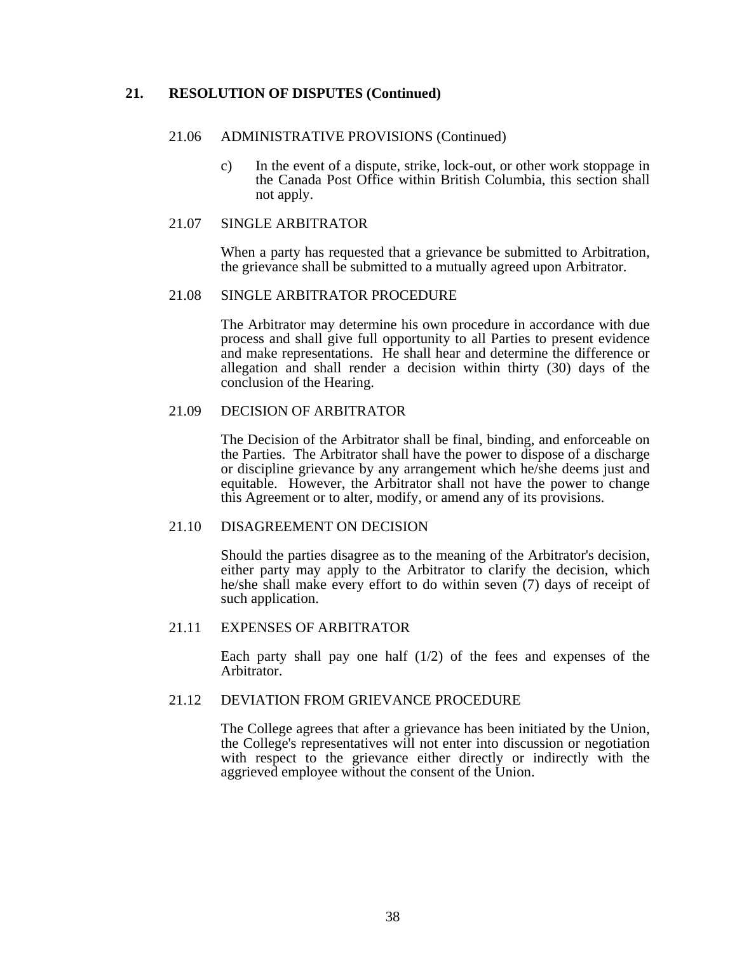## **21. RESOLUTION OF DISPUTES (Continued)**

#### 21.06 ADMINISTRATIVE PROVISIONS (Continued)

 c) In the event of a dispute, strike, lock-out, or other work stoppage in the Canada Post Office within British Columbia, this section shall not apply.

#### 21.07 SINGLE ARBITRATOR

 When a party has requested that a grievance be submitted to Arbitration, the grievance shall be submitted to a mutually agreed upon Arbitrator.

#### 21.08 SINGLE ARBITRATOR PROCEDURE

 The Arbitrator may determine his own procedure in accordance with due process and shall give full opportunity to all Parties to present evidence and make representations. He shall hear and determine the difference or allegation and shall render a decision within thirty (30) days of the conclusion of the Hearing.

### 21.09 DECISION OF ARBITRATOR

 The Decision of the Arbitrator shall be final, binding, and enforceable on the Parties. The Arbitrator shall have the power to dispose of a discharge or discipline grievance by any arrangement which he/she deems just and equitable. However, the Arbitrator shall not have the power to change this Agreement or to alter, modify, or amend any of its provisions.

#### 21.10 DISAGREEMENT ON DECISION

 Should the parties disagree as to the meaning of the Arbitrator's decision, either party may apply to the Arbitrator to clarify the decision, which he/she shall make every effort to do within seven (7) days of receipt of such application.

#### 21.11 EXPENSES OF ARBITRATOR

 Each party shall pay one half (1/2) of the fees and expenses of the Arbitrator.

#### 21.12 DEVIATION FROM GRIEVANCE PROCEDURE

 The College agrees that after a grievance has been initiated by the Union, the College's representatives will not enter into discussion or negotiation with respect to the grievance either directly or indirectly with the aggrieved employee without the consent of the Union.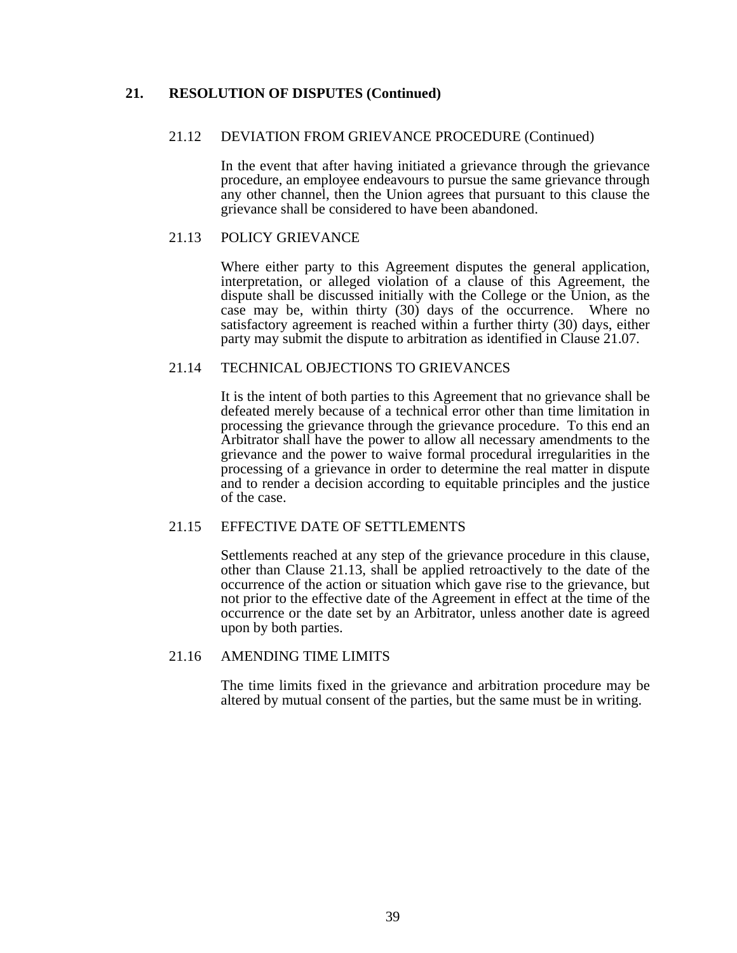## **21. RESOLUTION OF DISPUTES (Continued)**

### 21.12 DEVIATION FROM GRIEVANCE PROCEDURE (Continued)

 In the event that after having initiated a grievance through the grievance procedure, an employee endeavours to pursue the same grievance through any other channel, then the Union agrees that pursuant to this clause the grievance shall be considered to have been abandoned.

### 21.13 POLICY GRIEVANCE

 Where either party to this Agreement disputes the general application, interpretation, or alleged violation of a clause of this Agreement, the dispute shall be discussed initially with the College or the Union, as the case may be, within thirty (30) days of the occurrence. Where no satisfactory agreement is reached within a further thirty (30) days, either party may submit the dispute to arbitration as identified in Clause 21.07.

### 21.14 TECHNICAL OBJECTIONS TO GRIEVANCES

 It is the intent of both parties to this Agreement that no grievance shall be defeated merely because of a technical error other than time limitation in processing the grievance through the grievance procedure. To this end an Arbitrator shall have the power to allow all necessary amendments to the grievance and the power to waive formal procedural irregularities in the processing of a grievance in order to determine the real matter in dispute and to render a decision according to equitable principles and the justice of the case.

#### 21.15 EFFECTIVE DATE OF SETTLEMENTS

 Settlements reached at any step of the grievance procedure in this clause, other than Clause 21.13, shall be applied retroactively to the date of the occurrence of the action or situation which gave rise to the grievance, but not prior to the effective date of the Agreement in effect at the time of the occurrence or the date set by an Arbitrator, unless another date is agreed upon by both parties.

### 21.16 AMENDING TIME LIMITS

 The time limits fixed in the grievance and arbitration procedure may be altered by mutual consent of the parties, but the same must be in writing.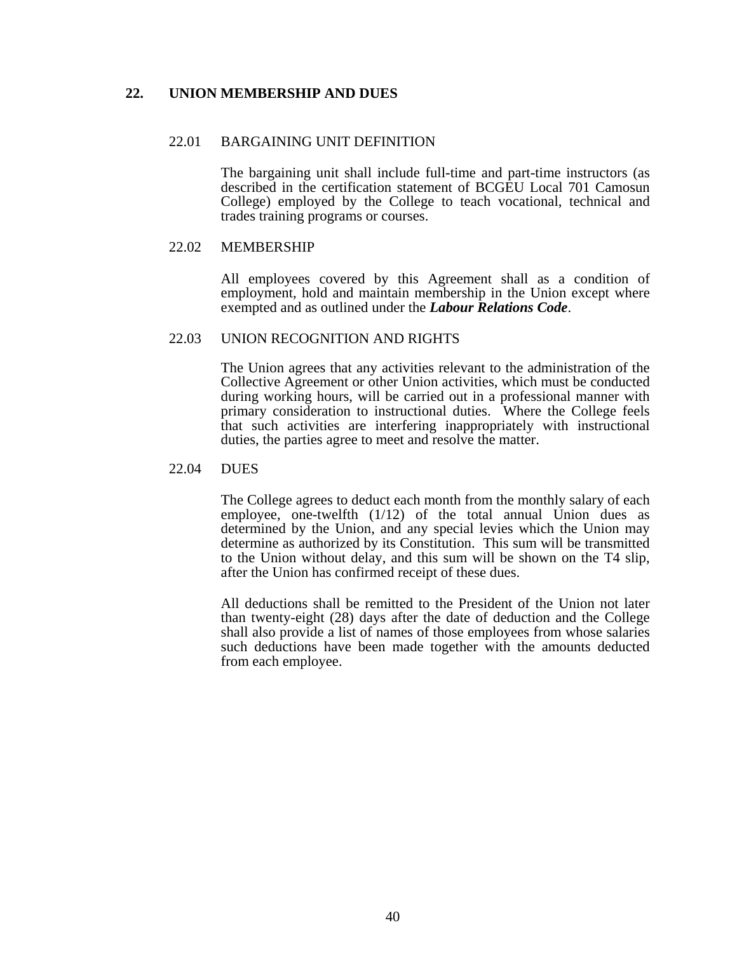### **22. UNION MEMBERSHIP AND DUES**

#### 22.01 BARGAINING UNIT DEFINITION

 The bargaining unit shall include full-time and part-time instructors (as described in the certification statement of BCGEU Local 701 Camosun College) employed by the College to teach vocational, technical and trades training programs or courses.

#### 22.02 MEMBERSHIP

 All employees covered by this Agreement shall as a condition of employment, hold and maintain membership in the Union except where exempted and as outlined under the *Labour Relations Code*.

#### 22.03 UNION RECOGNITION AND RIGHTS

 The Union agrees that any activities relevant to the administration of the Collective Agreement or other Union activities, which must be conducted during working hours, will be carried out in a professional manner with primary consideration to instructional duties. Where the College feels that such activities are interfering inappropriately with instructional duties, the parties agree to meet and resolve the matter.

#### 22.04 DUES

 The College agrees to deduct each month from the monthly salary of each employee, one-twelfth (1/12) of the total annual Union dues as determined by the Union, and any special levies which the Union may determine as authorized by its Constitution. This sum will be transmitted to the Union without delay, and this sum will be shown on the T4 slip, after the Union has confirmed receipt of these dues.

 All deductions shall be remitted to the President of the Union not later than twenty-eight (28) days after the date of deduction and the College shall also provide a list of names of those employees from whose salaries such deductions have been made together with the amounts deducted from each employee.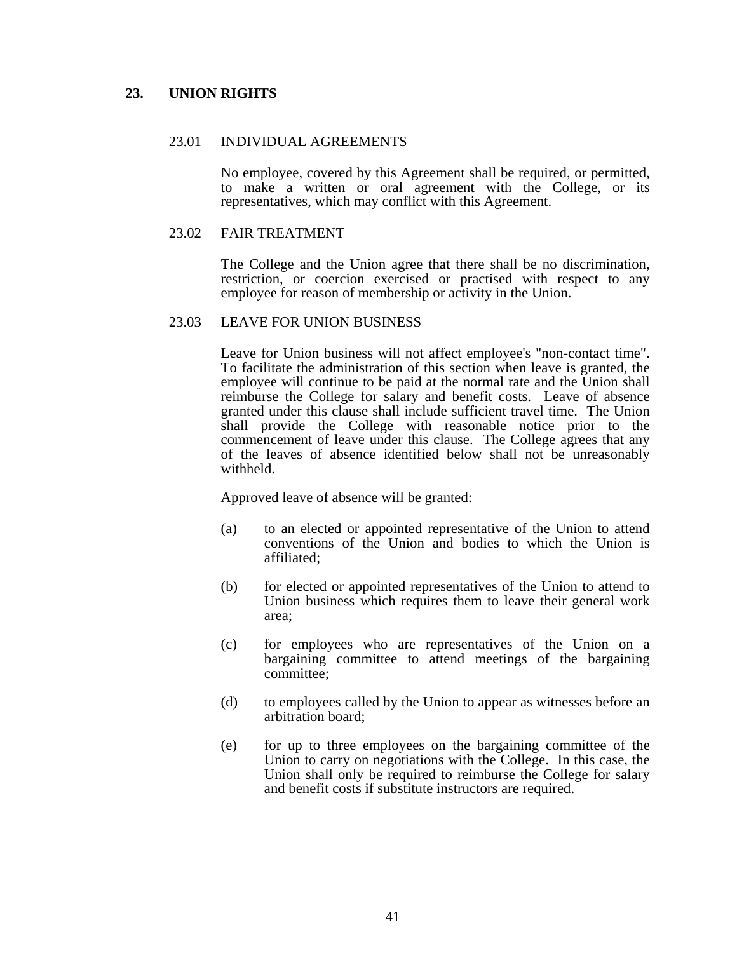## **23. UNION RIGHTS**

### 23.01 INDIVIDUAL AGREEMENTS

 No employee, covered by this Agreement shall be required, or permitted, to make a written or oral agreement with the College, or its representatives, which may conflict with this Agreement.

#### 23.02 FAIR TREATMENT

 The College and the Union agree that there shall be no discrimination, restriction, or coercion exercised or practised with respect to any employee for reason of membership or activity in the Union.

#### 23.03 LEAVE FOR UNION BUSINESS

 Leave for Union business will not affect employee's "non-contact time". To facilitate the administration of this section when leave is granted, the employee will continue to be paid at the normal rate and the Union shall reimburse the College for salary and benefit costs. Leave of absence granted under this clause shall include sufficient travel time. The Union shall provide the College with reasonable notice prior to the commencement of leave under this clause. The College agrees that any of the leaves of absence identified below shall not be unreasonably withheld.

Approved leave of absence will be granted:

- (a) to an elected or appointed representative of the Union to attend conventions of the Union and bodies to which the Union is affiliated;
- (b) for elected or appointed representatives of the Union to attend to Union business which requires them to leave their general work area;
- (c) for employees who are representatives of the Union on a bargaining committee to attend meetings of the bargaining committee;
- (d) to employees called by the Union to appear as witnesses before an arbitration board;
- (e) for up to three employees on the bargaining committee of the Union to carry on negotiations with the College. In this case, the Union shall only be required to reimburse the College for salary and benefit costs if substitute instructors are required.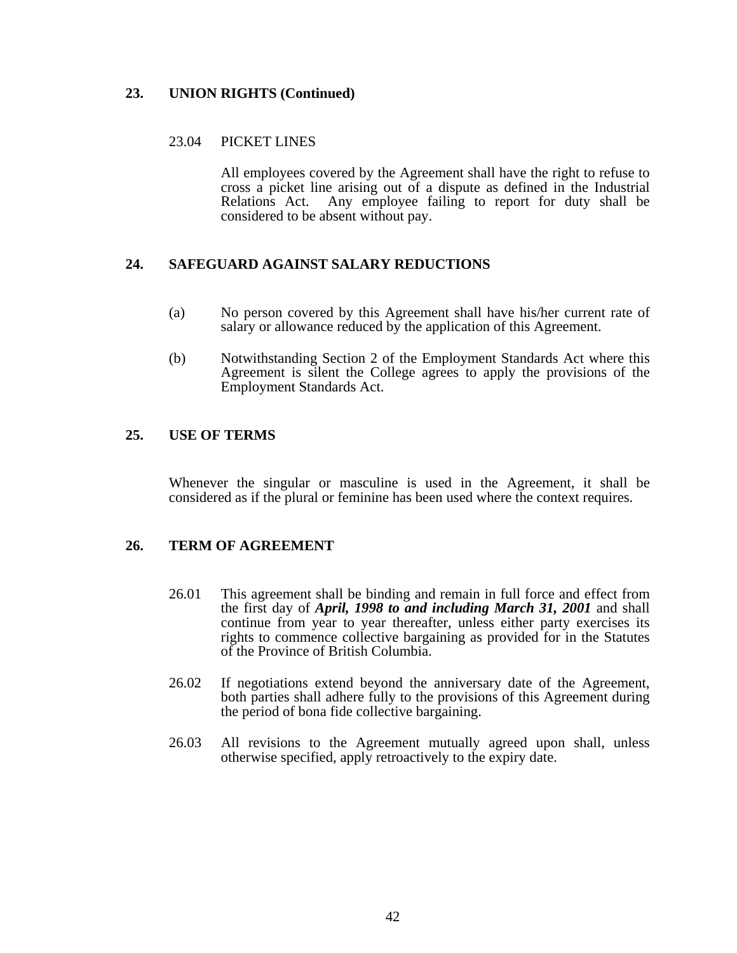## **23. UNION RIGHTS (Continued)**

## 23.04 PICKET LINES

 All employees covered by the Agreement shall have the right to refuse to cross a picket line arising out of a dispute as defined in the Industrial Relations Act. Any employee failing to report for duty shall be considered to be absent without pay.

## **24. SAFEGUARD AGAINST SALARY REDUCTIONS**

- (a) No person covered by this Agreement shall have his/her current rate of salary or allowance reduced by the application of this Agreement.
- (b) Notwithstanding Section 2 of the Employment Standards Act where this Agreement is silent the College agrees to apply the provisions of the Employment Standards Act.

### **25. USE OF TERMS**

 Whenever the singular or masculine is used in the Agreement, it shall be considered as if the plural or feminine has been used where the context requires.

## **26. TERM OF AGREEMENT**

- 26.01 This agreement shall be binding and remain in full force and effect from the first day of *April, 1998 to and including March 31, 2001* and shall continue from year to year thereafter, unless either party exercises its rights to commence collective bargaining as provided for in the Statutes of the Province of British Columbia.
- 26.02 If negotiations extend beyond the anniversary date of the Agreement, both parties shall adhere fully to the provisions of this Agreement during the period of bona fide collective bargaining.
- 26.03 All revisions to the Agreement mutually agreed upon shall, unless otherwise specified, apply retroactively to the expiry date.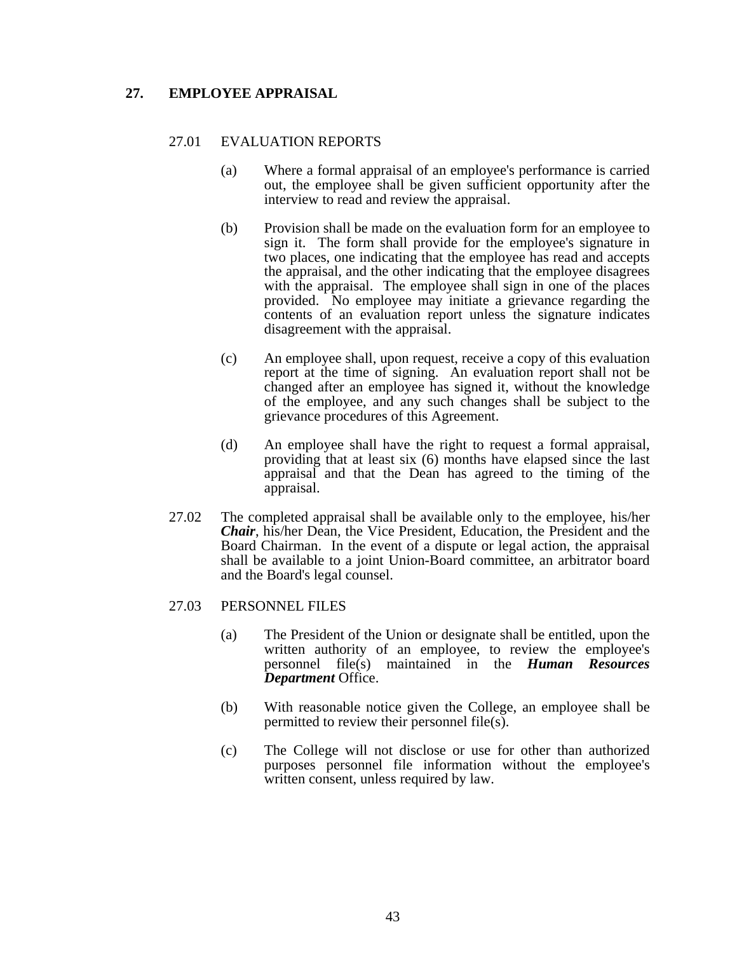## **27. EMPLOYEE APPRAISAL**

### 27.01 EVALUATION REPORTS

- (a) Where a formal appraisal of an employee's performance is carried out, the employee shall be given sufficient opportunity after the interview to read and review the appraisal.
- (b) Provision shall be made on the evaluation form for an employee to sign it. The form shall provide for the employee's signature in two places, one indicating that the employee has read and accepts the appraisal, and the other indicating that the employee disagrees with the appraisal. The employee shall sign in one of the places provided. No employee may initiate a grievance regarding the contents of an evaluation report unless the signature indicates disagreement with the appraisal.
- (c) An employee shall, upon request, receive a copy of this evaluation report at the time of signing. An evaluation report shall not be changed after an employee has signed it, without the knowledge of the employee, and any such changes shall be subject to the grievance procedures of this Agreement.
- (d) An employee shall have the right to request a formal appraisal, providing that at least six (6) months have elapsed since the last appraisal and that the Dean has agreed to the timing of the appraisal.
- 27.02 The completed appraisal shall be available only to the employee, his/her *Chair*, his/her Dean, the Vice President, Education, the President and the Board Chairman. In the event of a dispute or legal action, the appraisal shall be available to a joint Union-Board committee, an arbitrator board and the Board's legal counsel.

#### 27.03 PERSONNEL FILES

- (a) The President of the Union or designate shall be entitled, upon the written authority of an employee, to review the employee's personnel file(s) maintained in the *Human Resources Department* Office.
- (b) With reasonable notice given the College, an employee shall be permitted to review their personnel file(s).
- (c) The College will not disclose or use for other than authorized purposes personnel file information without the employee's written consent, unless required by law.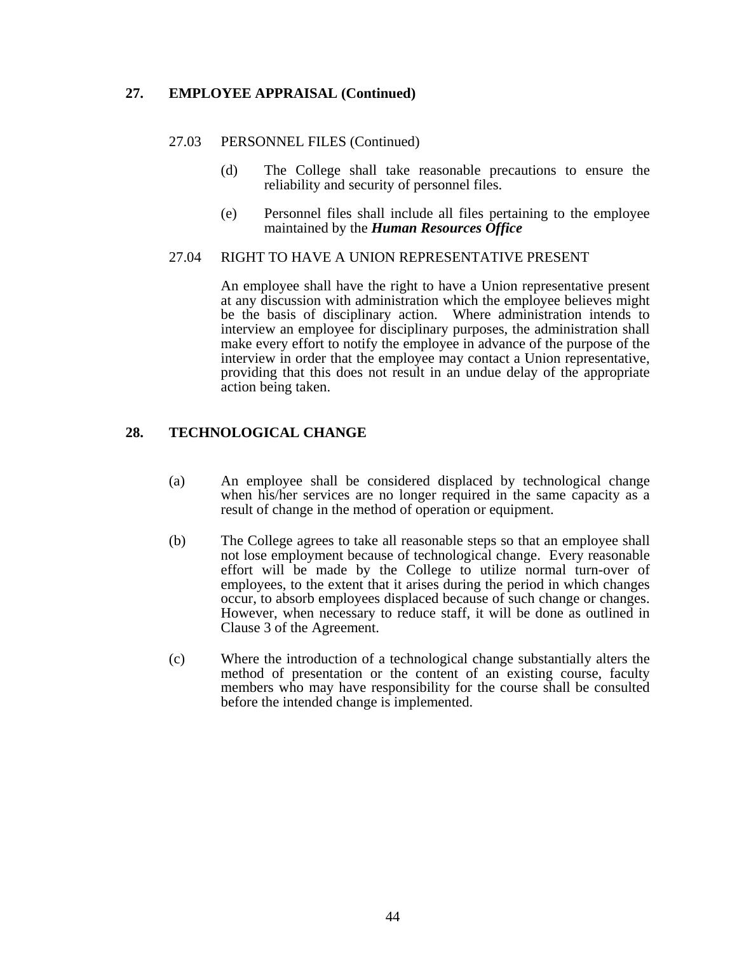## **27. EMPLOYEE APPRAISAL (Continued)**

### 27.03 PERSONNEL FILES (Continued)

- (d) The College shall take reasonable precautions to ensure the reliability and security of personnel files.
- (e) Personnel files shall include all files pertaining to the employee maintained by the *Human Resources Office*

#### 27.04 RIGHT TO HAVE A UNION REPRESENTATIVE PRESENT

 An employee shall have the right to have a Union representative present at any discussion with administration which the employee believes might be the basis of disciplinary action. Where administration intends to interview an employee for disciplinary purposes, the administration shall make every effort to notify the employee in advance of the purpose of the interview in order that the employee may contact a Union representative, providing that this does not result in an undue delay of the appropriate action being taken.

## **28. TECHNOLOGICAL CHANGE**

- (a) An employee shall be considered displaced by technological change when his/her services are no longer required in the same capacity as a result of change in the method of operation or equipment.
- (b) The College agrees to take all reasonable steps so that an employee shall not lose employment because of technological change. Every reasonable effort will be made by the College to utilize normal turn-over of employees, to the extent that it arises during the period in which changes occur, to absorb employees displaced because of such change or changes. However, when necessary to reduce staff, it will be done as outlined in Clause 3 of the Agreement.
- (c) Where the introduction of a technological change substantially alters the method of presentation or the content of an existing course, faculty members who may have responsibility for the course shall be consulted before the intended change is implemented.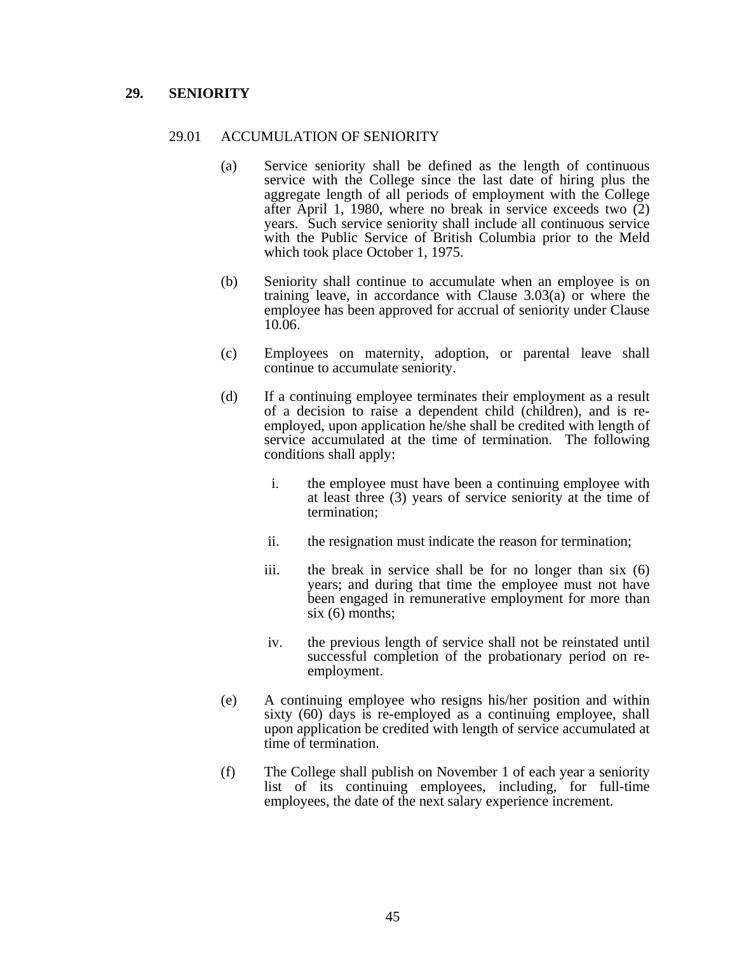### **29. SENIORITY**

#### 29.01 ACCUMULATION OF SENIORITY

- (a) Service seniority shall be defined as the length of continuous service with the College since the last date of hiring plus the aggregate length of all periods of employment with the College after April 1, 1980, where no break in service exceeds two (2) years. Such service seniority shall include all continuous service with the Public Service of British Columbia prior to the Meld which took place October 1, 1975.
- (b) Seniority shall continue to accumulate when an employee is on training leave, in accordance with Clause 3.03(a) or where the employee has been approved for accrual of seniority under Clause 10.06.
- (c) Employees on maternity, adoption, or parental leave shall continue to accumulate seniority.
- (d) If a continuing employee terminates their employment as a result of a decision to raise a dependent child (children), and is reemployed, upon application he/she shall be credited with length of service accumulated at the time of termination. The following conditions shall apply:
	- i. the employee must have been a continuing employee with at least three (3) years of service seniority at the time of termination;
	- ii. the resignation must indicate the reason for termination;
	- iii. the break in service shall be for no longer than six (6) years; and during that time the employee must not have been engaged in remunerative employment for more than  $six(6)$  months:
	- iv. the previous length of service shall not be reinstated until successful completion of the probationary period on reemployment.
- (e) A continuing employee who resigns his/her position and within sixty (60) days is re-employed as a continuing employee, shall upon application be credited with length of service accumulated at time of termination.
- (f) The College shall publish on November 1 of each year a seniority list of its continuing employees, including, for full-time employees, the date of the next salary experience increment.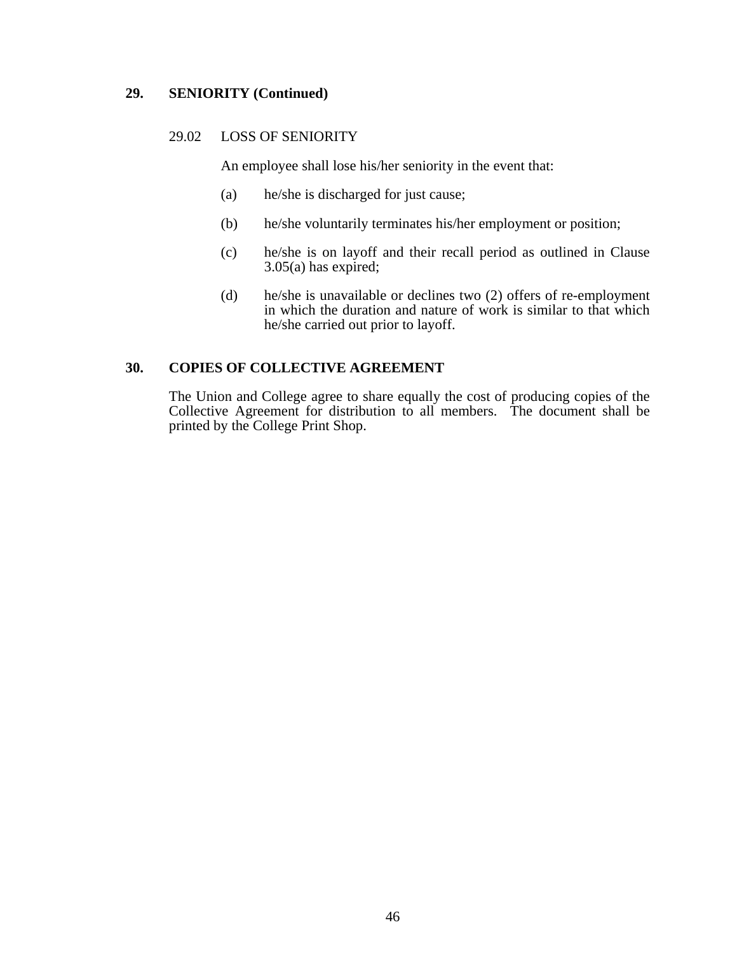### **29. SENIORITY (Continued)**

### 29.02 LOSS OF SENIORITY

An employee shall lose his/her seniority in the event that:

- (a) he/she is discharged for just cause;
- (b) he/she voluntarily terminates his/her employment or position;
- (c) he/she is on layoff and their recall period as outlined in Clause  $3.05(a)$  has expired;
- (d) he/she is unavailable or declines two (2) offers of re-employment in which the duration and nature of work is similar to that which he/she carried out prior to layoff.

### **30. COPIES OF COLLECTIVE AGREEMENT**

 The Union and College agree to share equally the cost of producing copies of the Collective Agreement for distribution to all members. The document shall be printed by the College Print Shop.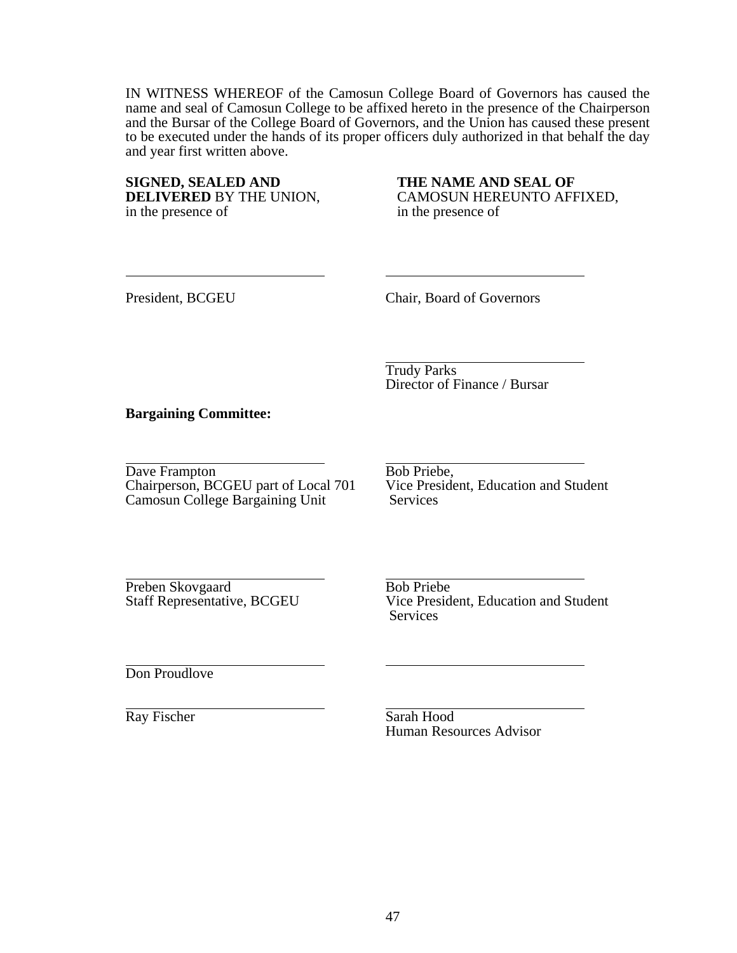IN WITNESS WHEREOF of the Camosun College Board of Governors has caused the name and seal of Camosun College to be affixed hereto in the presence of the Chairperson and the Bursar of the College Board of Governors, and the Union has caused these present to be executed under the hands of its proper officers duly authorized in that behalf the day and year first written above.

**SIGNED, SEALED AND THE NAME AND SEAL OF**  in the presence of

CAMOSUN HEREUNTO AFFIXED, in the presence of

President, BCGEU Chair, Board of Governors

 Trudy Parks Director of Finance / Bursar

### **Bargaining Committee:**

Dave Frampton<br>Chairperson, BCGEU part of Local 701 Vice President, Education and Student Chairperson, BCGEU part of Local 701 Vice Pres<br>Camosun College Bargaining Unit Services Camosun College Bargaining Unit

Preben Skovgaard<br>Staff Representative, BCGEU Vice Preside

Vice President, Education and Student Services

Don Proudlove

Ray Fischer Sarah Hood Human Resources Advisor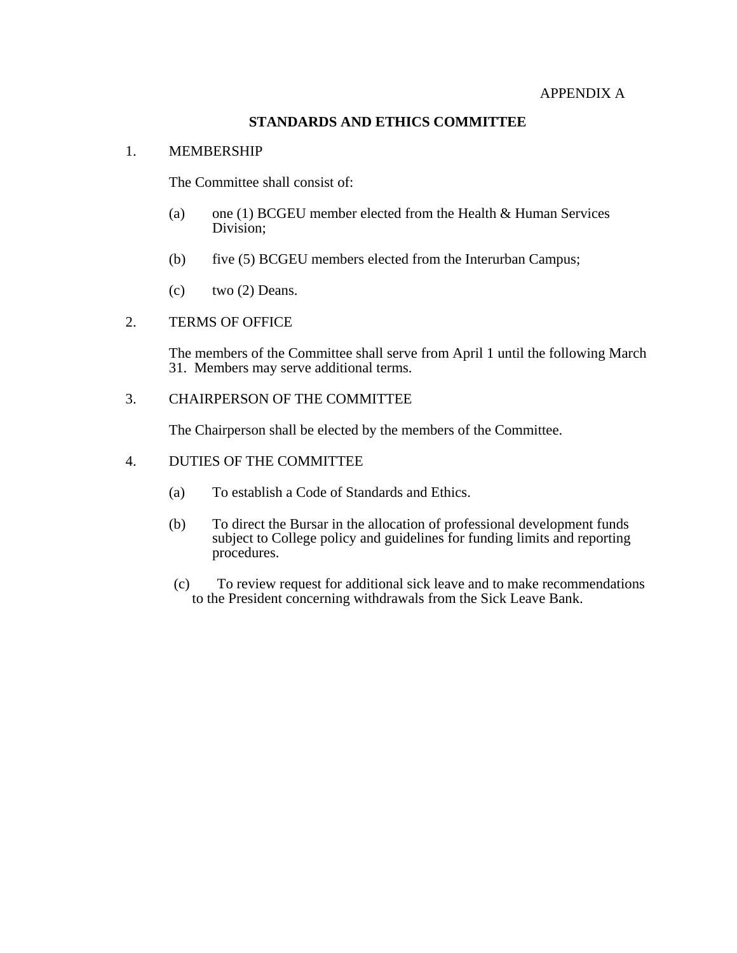#### APPENDIX A

## **STANDARDS AND ETHICS COMMITTEE**

#### 1. MEMBERSHIP

The Committee shall consist of:

- (a) one (1) BCGEU member elected from the Health & Human Services Division;
- (b) five (5) BCGEU members elected from the Interurban Campus;
- (c) two  $(2)$  Deans.

### 2. TERMS OF OFFICE

 The members of the Committee shall serve from April 1 until the following March 31. Members may serve additional terms.

3. CHAIRPERSON OF THE COMMITTEE

The Chairperson shall be elected by the members of the Committee.

### 4. DUTIES OF THE COMMITTEE

- (a) To establish a Code of Standards and Ethics.
- (b) To direct the Bursar in the allocation of professional development funds subject to College policy and guidelines for funding limits and reporting procedures.
- (c) To review request for additional sick leave and to make recommendations to the President concerning withdrawals from the Sick Leave Bank.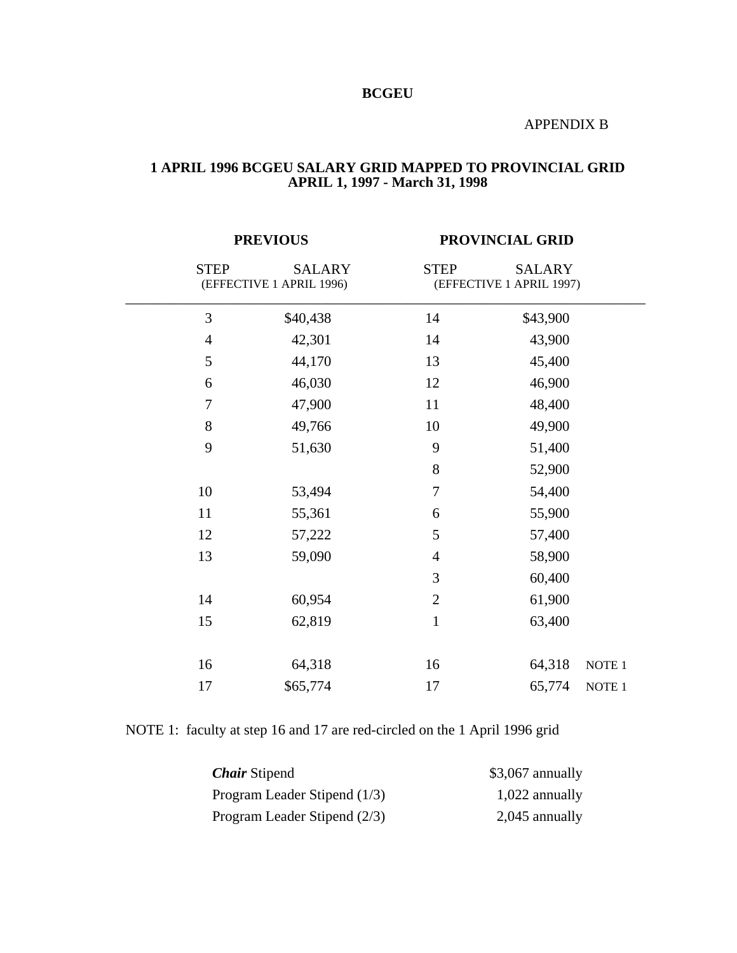## **BCGEU**

## APPENDIX B

#### **1 APRIL 1996 BCGEU SALARY GRID MAPPED TO PROVINCIAL GRID APRIL 1, 1997 - March 31, 1998**

|               | PROVINCIAL GRID                             |               |                          |  |
|---------------|---------------------------------------------|---------------|--------------------------|--|
| <b>SALARY</b> | <b>STEP</b>                                 | <b>SALARY</b> |                          |  |
| \$40,438      | 14                                          | \$43,900      |                          |  |
| 42,301        | 14                                          | 43,900        |                          |  |
| 44,170        | 13                                          | 45,400        |                          |  |
| 46,030        | 12                                          | 46,900        |                          |  |
| 47,900        | 11                                          | 48,400        |                          |  |
| 49,766        | 10                                          | 49,900        |                          |  |
| 51,630        | 9                                           | 51,400        |                          |  |
|               | 8                                           | 52,900        |                          |  |
| 53,494        | $\overline{7}$                              | 54,400        |                          |  |
| 55,361        | 6                                           | 55,900        |                          |  |
| 57,222        | 5                                           | 57,400        |                          |  |
| 59,090        | 4                                           | 58,900        |                          |  |
|               | 3                                           | 60,400        |                          |  |
| 60,954        | $\mathbf{2}$                                | 61,900        |                          |  |
| 62,819        | $\mathbf{1}$                                | 63,400        |                          |  |
|               |                                             |               |                          |  |
| 64,318        | 16                                          | 64,318        | NOTE 1                   |  |
| \$65,774      | 17                                          | 65,774        | NOTE <sub>1</sub>        |  |
|               | <b>PREVIOUS</b><br>(EFFECTIVE 1 APRIL 1996) |               | (EFFECTIVE 1 APRIL 1997) |  |

# NOTE 1: faculty at step 16 and 17 are red-circled on the 1 April 1996 grid

| <b>Chair</b> Stipend         | $$3,067$ annually |
|------------------------------|-------------------|
| Program Leader Stipend (1/3) | $1,022$ annually  |
| Program Leader Stipend (2/3) | $2,045$ annually  |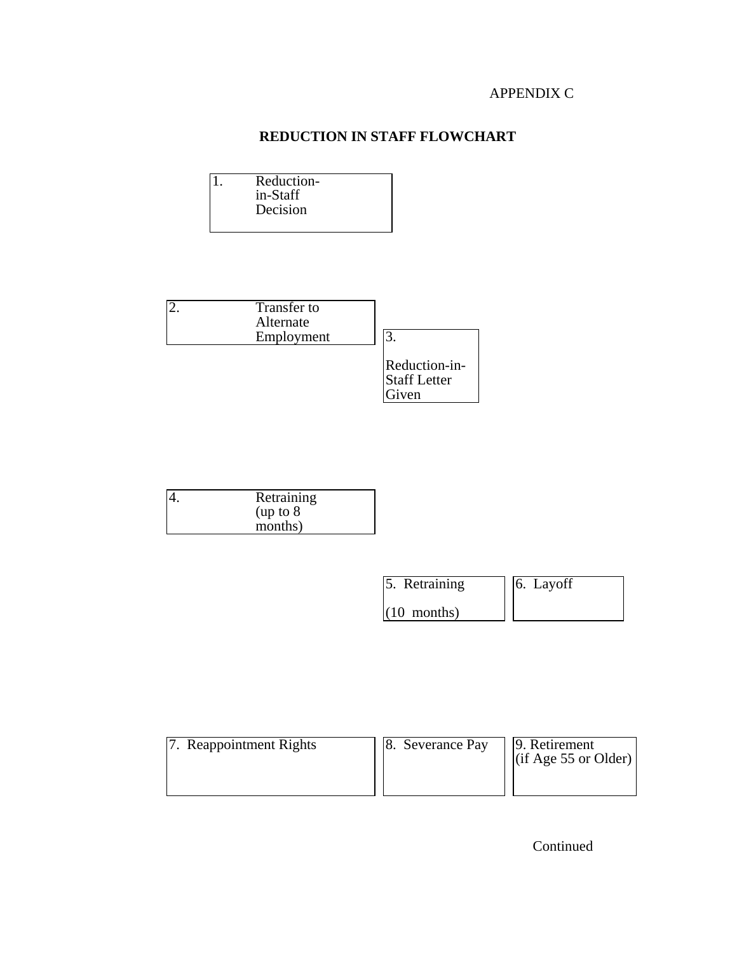## APPENDIX C

# **REDUCTION IN STAFF FLOWCHART**

1. Reduction in-Staff Decision



| 4. | Retraining |
|----|------------|
|    | (up to 8   |
|    | months)    |

| 5. Retraining |  | 6. Layoff |
|---------------|--|-----------|
|               |  |           |

 $(10$  months)

7. Reappointment Rights 8. Severance Pay 9. Retirement<br>(if Age 55 or Older)

Continued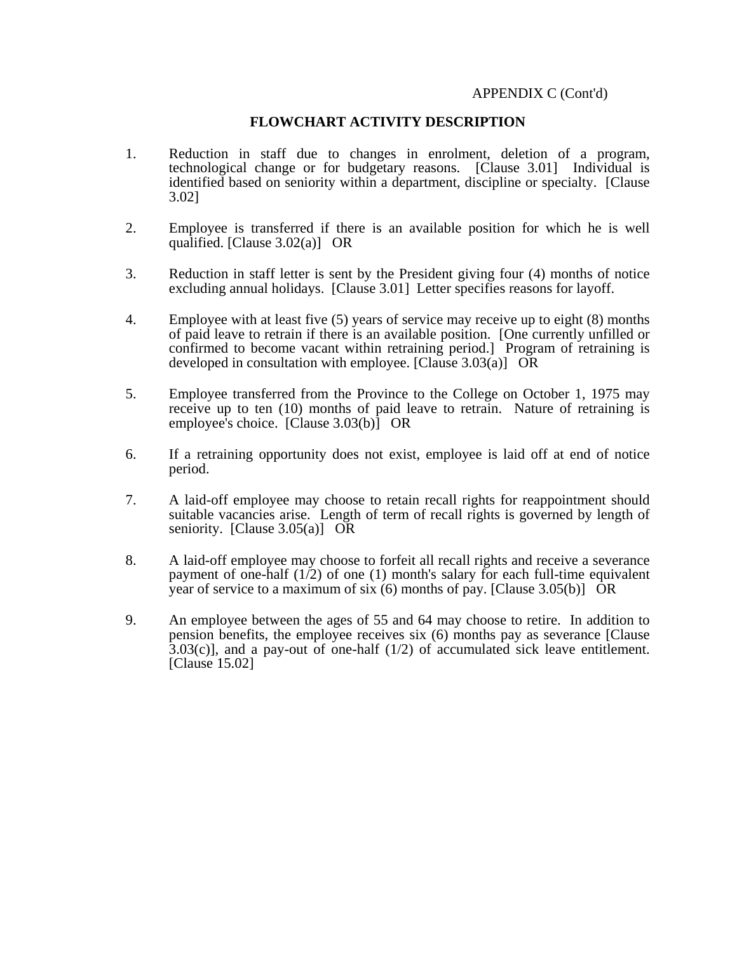### APPENDIX C (Cont'd)

### **FLOWCHART ACTIVITY DESCRIPTION**

- 1. Reduction in staff due to changes in enrolment, deletion of a program, technological change or for budgetary reasons. [Clause 3.01] Individual is identified based on seniority within a department, discipline or specialty. [Clause 3.02]
- 2. Employee is transferred if there is an available position for which he is well qualified. [Clause 3.02(a)] OR
- 3. Reduction in staff letter is sent by the President giving four (4) months of notice excluding annual holidays. [Clause 3.01] Letter specifies reasons for layoff.
- 4. Employee with at least five (5) years of service may receive up to eight (8) months of paid leave to retrain if there is an available position. [One currently unfilled or confirmed to become vacant within retraining period.] Program of retraining is developed in consultation with employee. [Clause 3.03(a)] OR
- 5. Employee transferred from the Province to the College on October 1, 1975 may receive up to ten (10) months of paid leave to retrain. Nature of retraining is employee's choice. [Clause 3.03(b)] OR
- 6. If a retraining opportunity does not exist, employee is laid off at end of notice period.
- 7. A laid-off employee may choose to retain recall rights for reappointment should suitable vacancies arise. Length of term of recall rights is governed by length of seniority. [Clause  $3.05(a)$ ] OR
- 8. A laid-off employee may choose to forfeit all recall rights and receive a severance payment of one-half  $(1/2)$  of one (1) month's salary for each full-time equivalent year of service to a maximum of six (6) months of pay. [Clause 3.05(b)] OR
- 9. An employee between the ages of 55 and 64 may choose to retire. In addition to pension benefits, the employee receives six (6) months pay as severance [Clause  $3.03(c)$ ], and a pay-out of one-half (1/2) of accumulated sick leave entitlement. [Clause 15.02]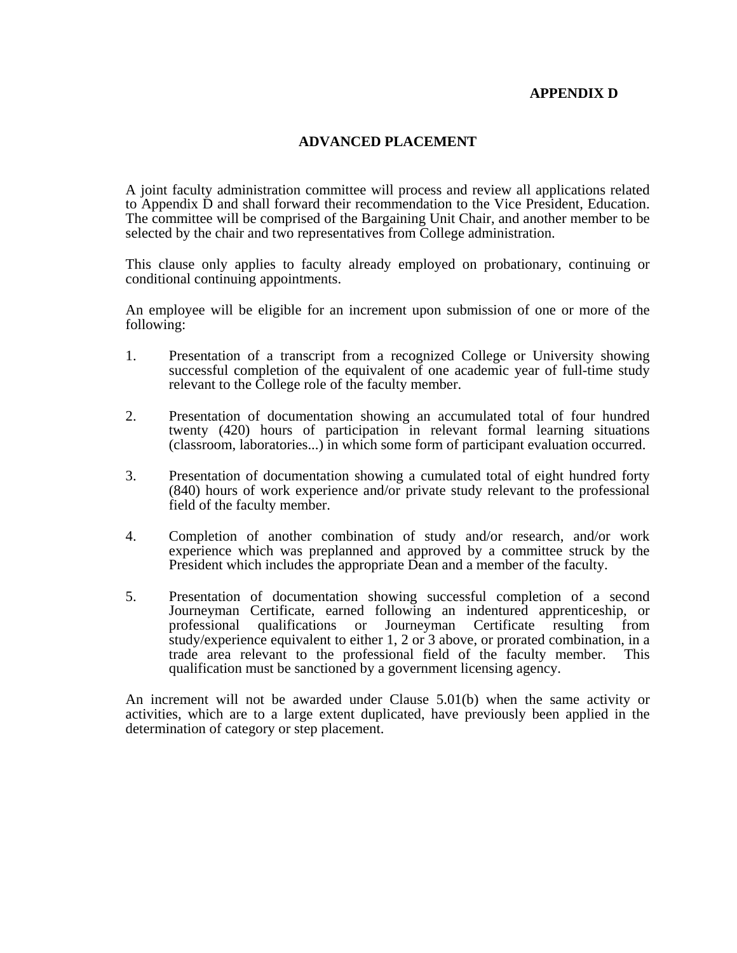### **APPENDIX D**

### **ADVANCED PLACEMENT**

A joint faculty administration committee will process and review all applications related to Appendix D and shall forward their recommendation to the Vice President, Education. The committee will be comprised of the Bargaining Unit Chair, and another member to be selected by the chair and two representatives from College administration.

This clause only applies to faculty already employed on probationary, continuing or conditional continuing appointments.

An employee will be eligible for an increment upon submission of one or more of the following:

- 1. Presentation of a transcript from a recognized College or University showing successful completion of the equivalent of one academic year of full-time study relevant to the College role of the faculty member.
- 2. Presentation of documentation showing an accumulated total of four hundred twenty (420) hours of participation in relevant formal learning situations (classroom, laboratories...) in which some form of participant evaluation occurred.
- 3. Presentation of documentation showing a cumulated total of eight hundred forty (840) hours of work experience and/or private study relevant to the professional field of the faculty member.
- 4. Completion of another combination of study and/or research, and/or work experience which was preplanned and approved by a committee struck by the President which includes the appropriate Dean and a member of the faculty.
- 5. Presentation of documentation showing successful completion of a second Journeyman Certificate, earned following an indentured apprenticeship, or professional qualifications or Journeyman Certificate resulting from study/experience equivalent to either 1, 2 or 3 above, or prorated combination, in a trade area relevant to the professional field of the faculty member. This qualification must be sanctioned by a government licensing agency.

An increment will not be awarded under Clause 5.01(b) when the same activity or activities, which are to a large extent duplicated, have previously been applied in the determination of category or step placement.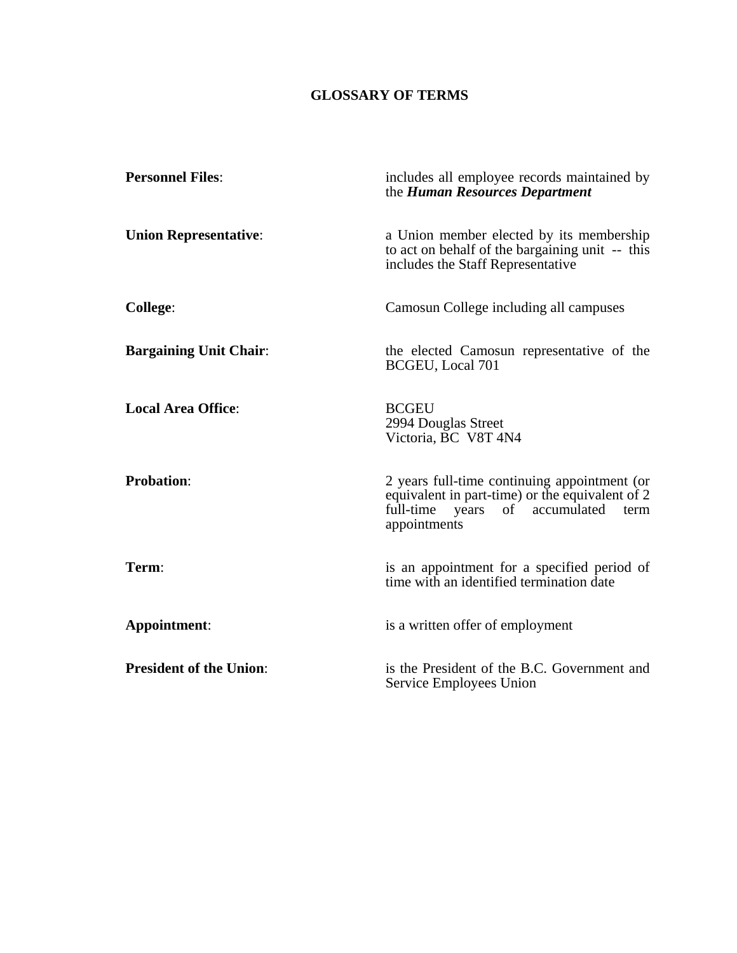# **GLOSSARY OF TERMS**

| <b>Personnel Files:</b>        | includes all employee records maintained by<br>the Human Resources Department                                                                                |
|--------------------------------|--------------------------------------------------------------------------------------------------------------------------------------------------------------|
| <b>Union Representative:</b>   | a Union member elected by its membership<br>to act on behalf of the bargaining unit -- this<br>includes the Staff Representative                             |
| College:                       | Camosun College including all campuses                                                                                                                       |
| <b>Bargaining Unit Chair:</b>  | the elected Camosun representative of the<br><b>BCGEU, Local 701</b>                                                                                         |
| <b>Local Area Office:</b>      | <b>BCGEU</b><br>2994 Douglas Street<br>Victoria, BC V8T 4N4                                                                                                  |
| <b>Probation:</b>              | 2 years full-time continuing appointment (or<br>equivalent in part-time) or the equivalent of 2<br>full-time years<br>of accumulated<br>term<br>appointments |
| Term:                          | is an appointment for a specified period of<br>time with an identified termination date                                                                      |
| Appointment:                   | is a written offer of employment                                                                                                                             |
| <b>President of the Union:</b> | is the President of the B.C. Government and<br>Service Employees Union                                                                                       |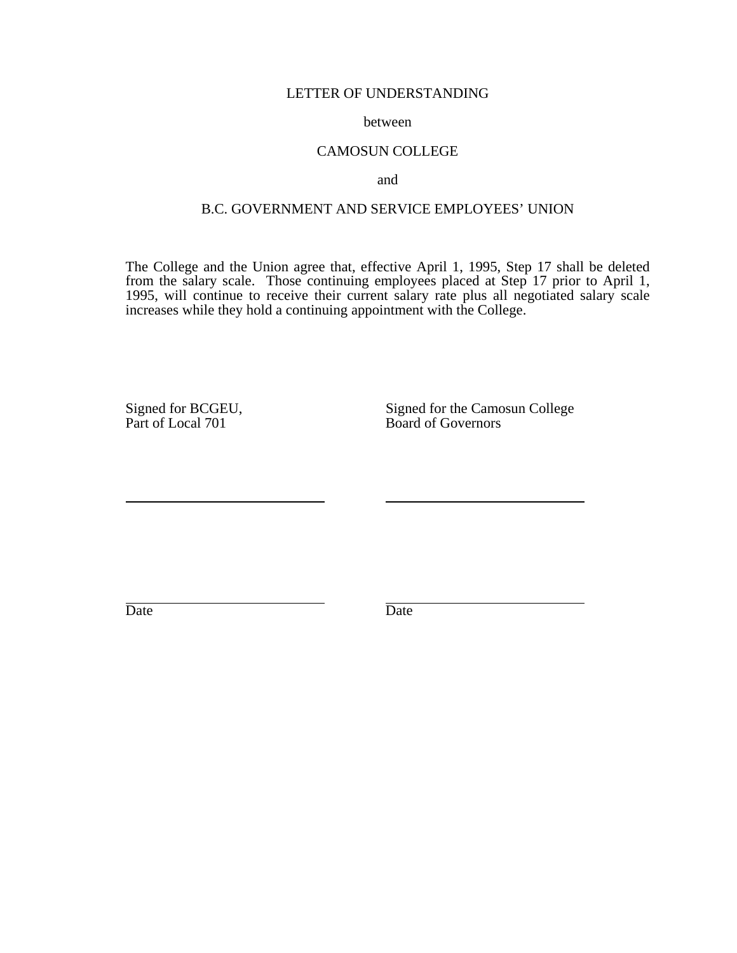#### LETTER OF UNDERSTANDING

#### between

#### CAMOSUN COLLEGE

and

# B.C. GOVERNMENT AND SERVICE EMPLOYEES' UNION

The College and the Union agree that, effective April 1, 1995, Step 17 shall be deleted from the salary scale. Those continuing employees placed at Step 17 prior to April 1, 1995, will continue to receive their current salary rate plus all negotiated salary scale increases while they hold a continuing appointment with the College.

Signed for BCGEU,<br>
Part of Local 701 Signed for the Camosun College<br>
Board of Governors Board of Governors

Date Date Date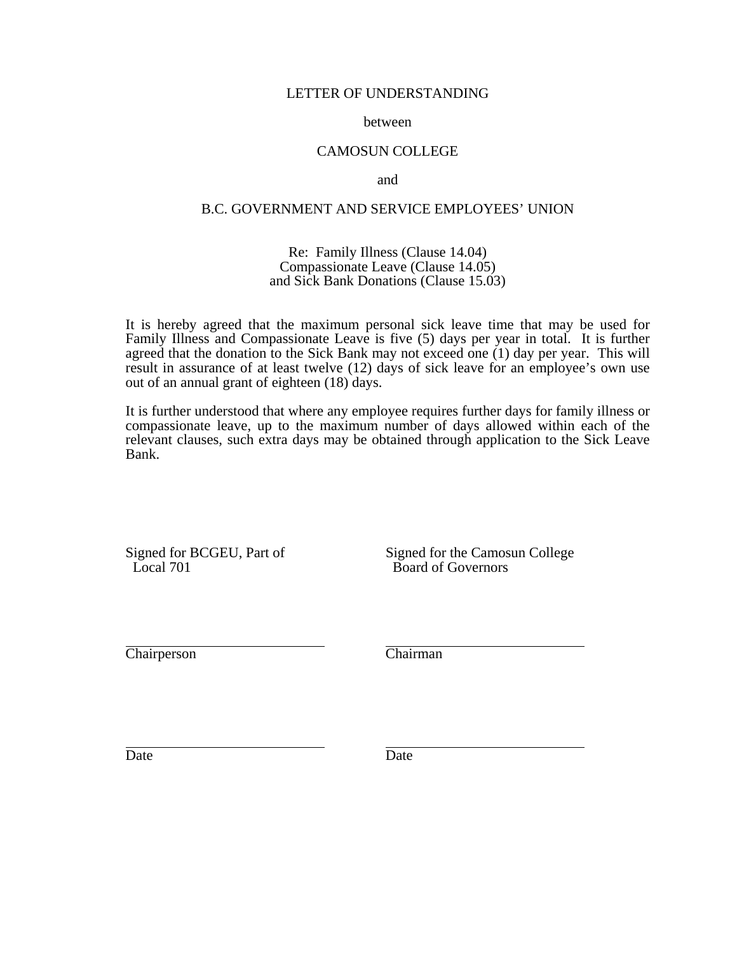#### LETTER OF UNDERSTANDING

#### between

### CAMOSUN COLLEGE

and

## B.C. GOVERNMENT AND SERVICE EMPLOYEES' UNION

#### Re: Family Illness (Clause 14.04) Compassionate Leave (Clause 14.05) and Sick Bank Donations (Clause 15.03)

It is hereby agreed that the maximum personal sick leave time that may be used for Family Illness and Compassionate Leave is five (5) days per year in total. It is further agreed that the donation to the Sick Bank may not exceed one  $(1)$  day per year. This will result in assurance of at least twelve (12) days of sick leave for an employee's own use out of an annual grant of eighteen (18) days.

It is further understood that where any employee requires further days for family illness or compassionate leave, up to the maximum number of days allowed within each of the relevant clauses, such extra days may be obtained through application to the Sick Leave Bank.

Signed for BCGEU, Part of Signed for the Camosun College<br>Local 701 Board of Governors Board of Governors

Chairperson Chairman

Date Date Date